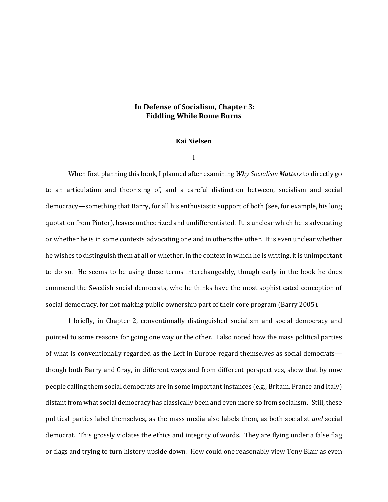## **In Defense of Socialism, Chapter 3: Fiddling While Rome Burns**

## **Kai Nielsen**

I

When first planning this book, I planned after examining *Why Socialism Matters* to directly go to an articulation and theorizing of, and a careful distinction between, socialism and social democracy—something that Barry, for all his enthusiastic support of both (see, for example, his long quotation from Pinter), leaves untheorized and undifferentiated. It is unclear which he is advocating or whether he is in some contexts advocating one and in others the other. It is even unclear whether he wishes to distinguish them at all or whether, in the context in which he is writing, it is unimportant to do so. He seems to be using these terms interchangeably, though early in the book he does commend the Swedish social democrats, who he thinks have the most sophisticated conception of social democracy, for not making public ownership part of their core program (Barry 2005).

I briefly, in Chapter 2, conventionally distinguished socialism and social democracy and pointed to some reasons for going one way or the other. I also noted how the mass political parties of what is conventionally regarded as the Left in Europe regard themselves as social democrats though both Barry and Gray, in different ways and from different perspectives, show that by now people calling them social democrats are in some important instances (e.g., Britain, France and Italy) distant from what social democracy has classically been and even more so from socialism. Still, these political parties label themselves, as the mass media also labels them, as both socialist *and* social democrat. This grossly violates the ethics and integrity of words. They are flying under a false flag or flags and trying to turn history upside down. How could one reasonably view Tony Blair as even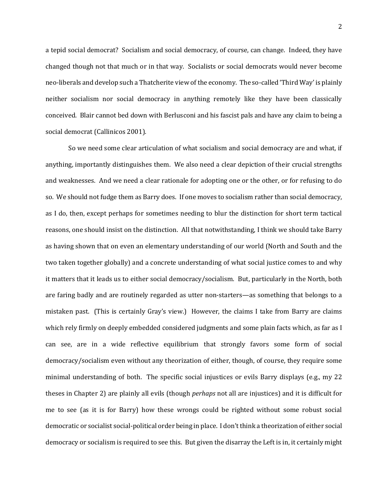a tepid social democrat? Socialism and social democracy, of course, can change. Indeed, they have changed though not that much or in that way. Socialists or social democrats would never become neo-liberals and develop such a Thatcherite view of the economy. The so-called 'Third Way' is plainly neither socialism nor social democracy in anything remotely like they have been classically conceived. Blair cannot bed down with Berlusconi and his fascist pals and have any claim to being a social democrat (Callinicos 2001).

So we need some clear articulation of what socialism and social democracy are and what, if anything, importantly distinguishes them. We also need a clear depiction of their crucial strengths and weaknesses. And we need a clear rationale for adopting one or the other, or for refusing to do so. We should not fudge them as Barry does. If one moves to socialism rather than social democracy, as I do, then, except perhaps for sometimes needing to blur the distinction for short term tactical reasons, one should insist on the distinction. All that notwithstanding, I think we should take Barry as having shown that on even an elementary understanding of our world (North and South and the two taken together globally) and a concrete understanding of what social justice comes to and why it matters that it leads us to either social democracy/socialism. But, particularly in the North, both are faring badly and are routinely regarded as utter non-starters—as something that belongs to a mistaken past. (This is certainly Gray's view.) However, the claims I take from Barry are claims which rely firmly on deeply embedded considered judgments and some plain facts which, as far as I can see, are in a wide reflective equilibrium that strongly favors some form of social democracy/socialism even without any theorization of either, though, of course, they require some minimal understanding of both. The specific social injustices or evils Barry displays (e.g., my 22 theses in Chapter 2) are plainly all evils (though *perhaps* not all are injustices) and it is difficult for me to see (as it is for Barry) how these wrongs could be righted without some robust social democratic or socialist social-political order being in place. I don't think a theorization of either social democracy or socialism is required to see this. But given the disarray the Left is in, it certainly might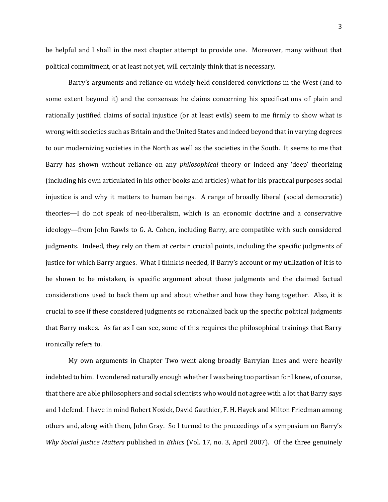be helpful and I shall in the next chapter attempt to provide one. Moreover, many without that political commitment, or at least not yet, will certainly think that is necessary.

Barry's arguments and reliance on widely held considered convictions in the West (and to some extent beyond it) and the consensus he claims concerning his specifications of plain and rationally justified claims of social injustice (or at least evils) seem to me firmly to show what is wrong with societies such as Britain and the United States and indeed beyond that in varying degrees to our modernizing societies in the North as well as the societies in the South. It seems to me that Barry has shown without reliance on any *philosophical* theory or indeed any 'deep' theorizing (including his own articulated in his other books and articles) what for his practical purposes social injustice is and why it matters to human beings. A range of broadly liberal (social democratic) theories—I do not speak of neo-liberalism, which is an economic doctrine and a conservative ideology—from John Rawls to G. A. Cohen, including Barry, are compatible with such considered judgments. Indeed, they rely on them at certain crucial points, including the specific judgments of justice for which Barry argues. What I think is needed, if Barry's account or my utilization of it is to be shown to be mistaken, is specific argument about these judgments and the claimed factual considerations used to back them up and about whether and how they hang together. Also, it is crucial to see if these considered judgments so rationalized back up the specific political judgments that Barry makes. As far as I can see, some of this requires the philosophical trainings that Barry ironically refers to.

My own arguments in Chapter Two went along broadly Barryian lines and were heavily indebted to him. I wondered naturally enough whether I was being too partisan for I knew, of course, that there are able philosophers and social scientists who would not agree with a lot that Barry says and I defend. I have in mind Robert Nozick, David Gauthier, F. H. Hayek and Milton Friedman among others and, along with them, John Gray. So I turned to the proceedings of a symposium on Barry's *Why Social Justice Matters* published in *Ethics* (Vol. 17, no. 3, April 2007). Of the three genuinely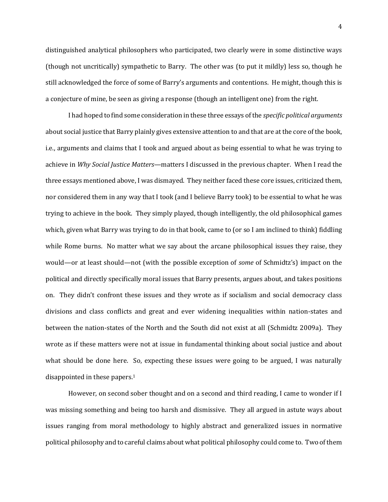distinguished analytical philosophers who participated, two clearly were in some distinctive ways (though not uncritically) sympathetic to Barry. The other was (to put it mildly) less so, though he still acknowledged the force of some of Barry's arguments and contentions. He might, though this is a conjecture of mine, be seen as giving a response (though an intelligent one) from the right.

I had hoped to find some consideration in these three essays of the *specific political arguments* about social justice that Barry plainly gives extensive attention to and that are at the core of the book, i.e., arguments and claims that I took and argued about as being essential to what he was trying to achieve in *Why Social Justice Matters*—matters I discussed in the previous chapter. When I read the three essays mentioned above, I was dismayed. They neither faced these core issues, criticized them, nor considered them in any way that I took (and I believe Barry took) to be essential to what he was trying to achieve in the book. They simply played, though intelligently, the old philosophical games which, given what Barry was trying to do in that book, came to (or so I am inclined to think) fiddling while Rome burns. No matter what we say about the arcane philosophical issues they raise, they would—or at least should—not (with the possible exception of *some* of Schmidtz's) impact on the political and directly specifically moral issues that Barry presents, argues about, and takes positions on. They didn't confront these issues and they wrote as if socialism and social democracy class divisions and class conflicts and great and ever widening inequalities within nation-states and between the nation-states of the North and the South did not exist at all (Schmidtz 2009a). They wrote as if these matters were not at issue in fundamental thinking about social justice and about what should be done here. So, expecting these issues were going to be argued, I was naturally disappointed in these papers.<sup>1</sup>

However, on second sober thought and on a second and third reading, I came to wonder if I was missing something and being too harsh and dismissive. They all argued in astute ways about issues ranging from moral methodology to highly abstract and generalized issues in normative political philosophy and to careful claims about what political philosophy could come to. Two of them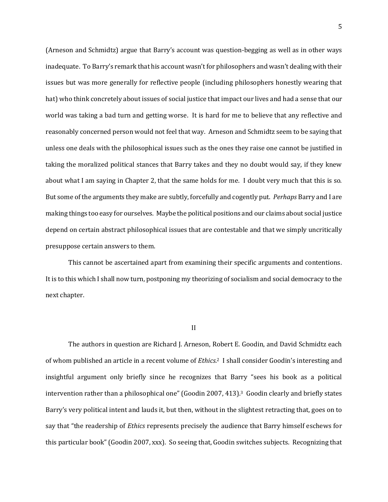(Arneson and Schmidtz) argue that Barry's account was question-begging as well as in other ways inadequate. To Barry's remark that his account wasn't for philosophers and wasn't dealing with their issues but was more generally for reflective people (including philosophers honestly wearing that hat) who think concretely about issues of social justice that impact our lives and had a sense that our world was taking a bad turn and getting worse. It is hard for me to believe that any reflective and reasonably concerned person would not feel that way. Arneson and Schmidtz seem to be saying that unless one deals with the philosophical issues such as the ones they raise one cannot be justified in taking the moralized political stances that Barry takes and they no doubt would say, if they knew about what I am saying in Chapter 2, that the same holds for me. I doubt very much that this is so. But some of the arguments they make are subtly, forcefully and cogently put. *Perhaps* Barry and I are making things too easy for ourselves. Maybe the political positions and our claims about social justice depend on certain abstract philosophical issues that are contestable and that we simply uncritically presuppose certain answers to them.

This cannot be ascertained apart from examining their specific arguments and contentions. It is to this which I shall now turn, postponing my theorizing of socialism and social democracy to the next chapter.

## II

The authors in question are Richard J. Arneson, Robert E. Goodin, and David Schmidtz each of whom published an article in a recent volume of *Ethics*. <sup>2</sup> I shall consider Goodin's interesting and insightful argument only briefly since he recognizes that Barry "sees his book as a political intervention rather than a philosophical one" (Goodin 2007, 413).3 Goodin clearly and briefly states Barry's very political intent and lauds it, but then, without in the slightest retracting that, goes on to say that "the readership of *Ethics* represents precisely the audience that Barry himself eschews for this particular book" (Goodin 2007, xxx). So seeing that, Goodin switches subjects. Recognizing that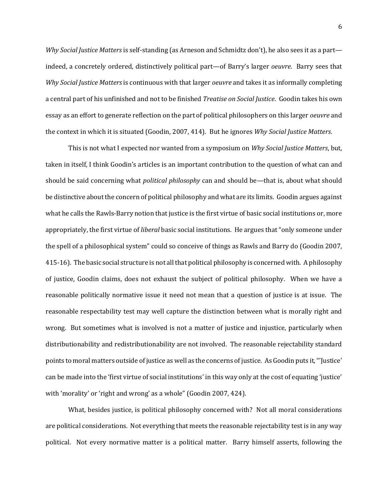*Why Social Justice Matters* is self-standing (as Arneson and Schmidtz don't), he also sees it as a part indeed, a concretely ordered, distinctively political part—of Barry's larger *oeuvre*. Barry sees that *Why Social Justice Matters* is continuous with that larger *oeuvre* and takes it as informally completing a central part of his unfinished and not to be finished *Treatise on Social Justice*. Goodin takes his own essay as an effort to generate reflection on the part of political philosophers on this larger *oeuvre* and the context in which it is situated (Goodin, 2007, 414). But he ignores *Why Social Justice Matters*.

This is not what I expected nor wanted from a symposium on *Why Social Justice Matters*, but, taken in itself, I think Goodin's articles is an important contribution to the question of what can and should be said concerning what *political philosophy* can and should be—that is, about what should be distinctive about the concern of political philosophy and what are its limits. Goodin argues against what he calls the Rawls-Barry notion that justice is the first virtue of basic social institutions or, more appropriately, the first virtue of *liberal* basic social institutions. He argues that "only someone under the spell of a philosophical system" could so conceive of things as Rawls and Barry do (Goodin 2007, 415-16). The basic social structure is not all that political philosophy is concerned with. A philosophy of justice, Goodin claims, does not exhaust the subject of political philosophy. When we have a reasonable politically normative issue it need not mean that a question of justice is at issue. The reasonable respectability test may well capture the distinction between what is morally right and wrong. But sometimes what is involved is not a matter of justice and injustice, particularly when distributionability and redistributionability are not involved. The reasonable rejectability standard points to moral matters outside of justice as well as the concerns of justice. As Goodin puts it, "'Justice' can be made into the 'first virtue of social institutions' in this way only at the cost of equating 'justice' with 'morality' or 'right and wrong' as a whole" (Goodin 2007, 424).

What, besides justice, is political philosophy concerned with? Not all moral considerations are political considerations. Not everything that meets the reasonable rejectability test is in any way political. Not every normative matter is a political matter. Barry himself asserts, following the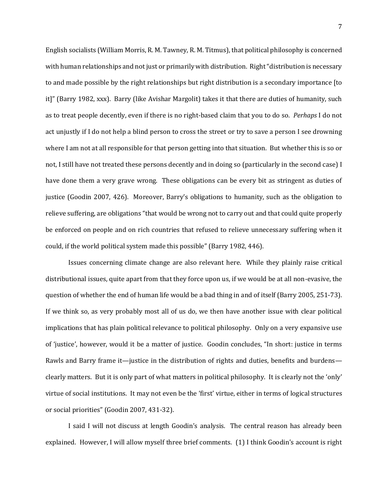English socialists (William Morris, R. M. Tawney, R. M. Titmus), that political philosophy is concerned with human relationships and not just or primarily with distribution. Right "distribution is necessary to and made possible by the right relationships but right distribution is a secondary importance [to it]" (Barry 1982, xxx). Barry (like Avishar Margolit) takes it that there are duties of humanity, such as to treat people decently, even if there is no right-based claim that you to do so. *Perhaps* I do not act unjustly if I do not help a blind person to cross the street or try to save a person I see drowning where I am not at all responsible for that person getting into that situation. But whether this is so or not, I still have not treated these persons decently and in doing so (particularly in the second case) I have done them a very grave wrong. These obligations can be every bit as stringent as duties of justice (Goodin 2007, 426). Moreover, Barry's obligations to humanity, such as the obligation to relieve suffering, are obligations "that would be wrong not to carry out and that could quite properly be enforced on people and on rich countries that refused to relieve unnecessary suffering when it could, if the world political system made this possible" (Barry 1982, 446).

Issues concerning climate change are also relevant here. While they plainly raise critical distributional issues, quite apart from that they force upon us, if we would be at all non-evasive, the question of whether the end of human life would be a bad thing in and of itself (Barry 2005, 251-73). If we think so, as very probably most all of us do, we then have another issue with clear political implications that has plain political relevance to political philosophy. Only on a very expansive use of 'justice', however, would it be a matter of justice. Goodin concludes, "In short: justice in terms Rawls and Barry frame it—justice in the distribution of rights and duties, benefits and burdens clearly matters. But it is only part of what matters in political philosophy. It is clearly not the 'only' virtue of social institutions. It may not even be the 'first' virtue, either in terms of logical structures or social priorities" (Goodin 2007, 431-32).

I said I will not discuss at length Goodin's analysis. The central reason has already been explained. However, I will allow myself three brief comments. (1) I think Goodin's account is right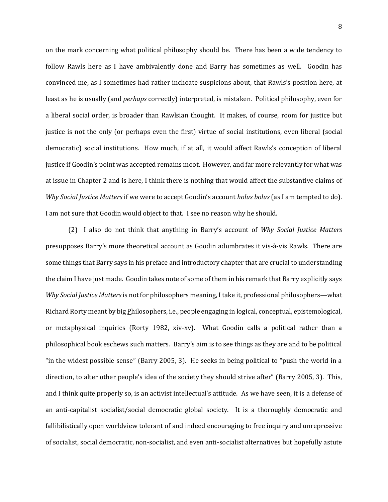on the mark concerning what political philosophy should be. There has been a wide tendency to follow Rawls here as I have ambivalently done and Barry has sometimes as well. Goodin has convinced me, as I sometimes had rather inchoate suspicions about, that Rawls's position here, at least as he is usually (and *perhaps* correctly) interpreted, is mistaken. Political philosophy, even for a liberal social order, is broader than Rawlsian thought. It makes, of course, room for justice but justice is not the only (or perhaps even the first) virtue of social institutions, even liberal (social democratic) social institutions. How much, if at all, it would affect Rawls's conception of liberal justice if Goodin's point was accepted remains moot. However, and far more relevantly for what was at issue in Chapter 2 and is here, I think there is nothing that would affect the substantive claims of *Why Social Justice Matters* if we were to accept Goodin's account *holus bolus* (as I am tempted to do). I am not sure that Goodin would object to that. I see no reason why he should.

(2) I also do not think that anything in Barry's account of *Why Social Justice Matters* presupposes Barry's more theoretical account as Goodin adumbrates it vis-à-vis Rawls. There are some things that Barry says in his preface and introductory chapter that are crucial to understanding the claim I have just made. Goodin takes note of some of them in his remark that Barry explicitly says *Why Social Justice Matters*is not for philosophers meaning, I take it, professional philosophers—what Richard Rorty meant by big Philosophers, i.e., people engaging in logical, conceptual, epistemological, or metaphysical inquiries (Rorty 1982, xiv-xv). What Goodin calls a political rather than a philosophical book eschews such matters. Barry's aim is to see things as they are and to be political "in the widest possible sense" (Barry 2005, 3). He seeks in being political to "push the world in a direction, to alter other people's idea of the society they should strive after" (Barry 2005, 3). This, and I think quite properly so, is an activist intellectual's attitude. As we have seen, it is a defense of an anti-capitalist socialist/social democratic global society. It is a thoroughly democratic and fallibilistically open worldview tolerant of and indeed encouraging to free inquiry and unrepressive of socialist, social democratic, non-socialist, and even anti-socialist alternatives but hopefully astute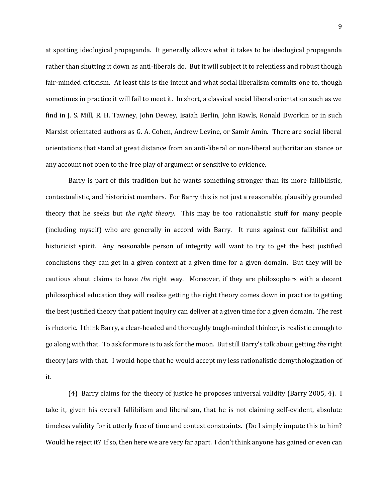at spotting ideological propaganda. It generally allows what it takes to be ideological propaganda rather than shutting it down as anti-liberals do. But it will subject it to relentless and robust though fair-minded criticism. At least this is the intent and what social liberalism commits one to, though sometimes in practice it will fail to meet it. In short, a classical social liberal orientation such as we find in J. S. Mill, R. H. Tawney, John Dewey, Isaiah Berlin, John Rawls, Ronald Dworkin or in such Marxist orientated authors as G. A. Cohen, Andrew Levine, or Samir Amin. There are social liberal orientations that stand at great distance from an anti-liberal or non-liberal authoritarian stance or any account not open to the free play of argument or sensitive to evidence.

Barry is part of this tradition but he wants something stronger than its more fallibilistic, contextualistic, and historicist members. For Barry this is not just a reasonable, plausibly grounded theory that he seeks but *the right theory*. This may be too rationalistic stuff for many people (including myself) who are generally in accord with Barry. It runs against our fallibilist and historicist spirit. Any reasonable person of integrity will want to try to get the best justified conclusions they can get in a given context at a given time for a given domain. But they will be cautious about claims to have *the* right way. Moreover, if they are philosophers with a decent philosophical education they will realize getting the right theory comes down in practice to getting the best justified theory that patient inquiry can deliver at a given time for a given domain. The rest is rhetoric. I think Barry, a clear-headed and thoroughly tough-minded thinker, is realistic enough to go along with that. To ask for more is to ask for the moon. But still Barry's talk about getting *the* right theory jars with that. I would hope that he would accept my less rationalistic demythologization of it.

(4) Barry claims for the theory of justice he proposes universal validity (Barry 2005, 4). I take it, given his overall fallibilism and liberalism, that he is not claiming self-evident, absolute timeless validity for it utterly free of time and context constraints. (Do I simply impute this to him? Would he reject it? If so, then here we are very far apart. I don't think anyone has gained or even can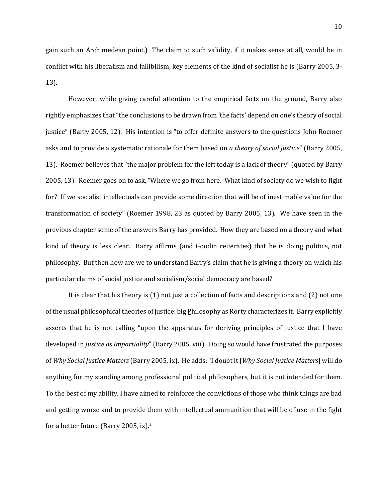gain such an Archimedean point.) The claim to such validity, if it makes sense at all, would be in conflict with his liberalism and fallibilism, key elements of the kind of socialist he is (Barry 2005, 3- 13).

However, while giving careful attention to the empirical facts on the ground, Barry also rightly emphasizes that "the conclusions to be drawn from 'the facts' depend on one's theory of social justice" (Barry 2005, 12). His intention is "to offer definite answers to the questions John Roemer asks and to provide a systematic rationale for them based on *a theory of social justice*" (Barry 2005, 13). Roemer believes that "the major problem for the left today is a lack of theory" (quoted by Barry 2005, 13). Roemer goes on to ask, "Where we go from here. What kind of society do we wish to fight for? If we socialist intellectuals can provide some direction that will be of inestimable value for the transformation of society" (Roemer 1998, 23 as quoted by Barry 2005, 13). We have seen in the previous chapter some of the answers Barry has provided. How they are based on a theory and what kind of theory is less clear. Barry affirms (and Goodin reiterates) that he is doing politics, not philosophy. But then how are we to understand Barry's claim that he is giving a theory on which his particular claims of social justice and socialism/social democracy are based?

It is clear that his theory is (1) not just a collection of facts and descriptions and (2) not one of the usual philosophical theories of justice: big Philosophy as Rorty characterizes it. Barry explicitly asserts that he is not calling "upon the apparatus for deriving principles of justice that I have developed in *Justice as Impartiality*" (Barry 2005, viii). Doing so would have frustrated the purposes of *Why Social Justice Matters* (Barry 2005, ix). He adds: "I doubt it [*Why Social Justice Matters*] will do anything for my standing among professional political philosophers, but it is not intended for them. To the best of my ability, I have aimed to reinforce the convictions of those who think things are bad and getting worse and to provide them with intellectual ammunition that will be of use in the fight for a better future (Barry 2005, ix).4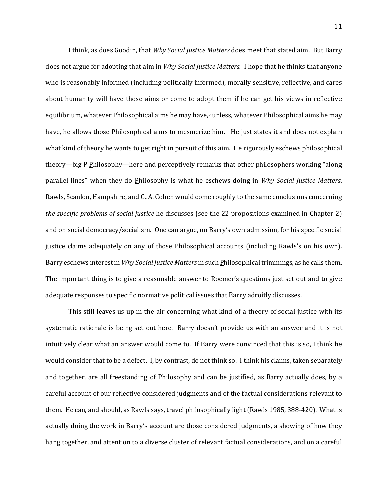I think, as does Goodin, that *Why Social Justice Matters* does meet that stated aim. But Barry does not argue for adopting that aim in *Why Social Justice Matters.* I hope that he thinks that anyone who is reasonably informed (including politically informed), morally sensitive, reflective, and cares about humanity will have those aims or come to adopt them if he can get his views in reflective equilibrium, whatever **Philosophical aims he may have**,<sup>5</sup> unless, whatever **Philosophical aims he may** have, he allows those Philosophical aims to mesmerize him. He just states it and does not explain what kind of theory he wants to get right in pursuit of this aim. He rigorously eschews philosophical theory—big P Philosophy—here and perceptively remarks that other philosophers working "along parallel lines" when they do Philosophy is what he eschews doing in *Why Social Justice Matters.* Rawls, Scanlon, Hampshire, and G. A. Cohen would come roughly to the same conclusions concerning *the specific problems of social justice* he discusses (see the 22 propositions examined in Chapter 2) and on social democracy/socialism. One can argue, on Barry's own admission, for his specific social justice claims adequately on any of those Philosophical accounts (including Rawls's on his own). Barry eschews interest in *Why Social Justice Matters* in such Philosophical trimmings, as he calls them. The important thing is to give a reasonable answer to Roemer's questions just set out and to give adequate responses to specific normative political issues that Barry adroitly discusses.

This still leaves us up in the air concerning what kind of a theory of social justice with its systematic rationale is being set out here. Barry doesn't provide us with an answer and it is not intuitively clear what an answer would come to. If Barry were convinced that this is so, I think he would consider that to be a defect. I, by contrast, do not think so. I think his claims, taken separately and together, are all freestanding of Philosophy and can be justified, as Barry actually does, by a careful account of our reflective considered judgments and of the factual considerations relevant to them. He can, and should, as Rawls says, travel philosophically light (Rawls 1985, 388-420). What is actually doing the work in Barry's account are those considered judgments, a showing of how they hang together, and attention to a diverse cluster of relevant factual considerations, and on a careful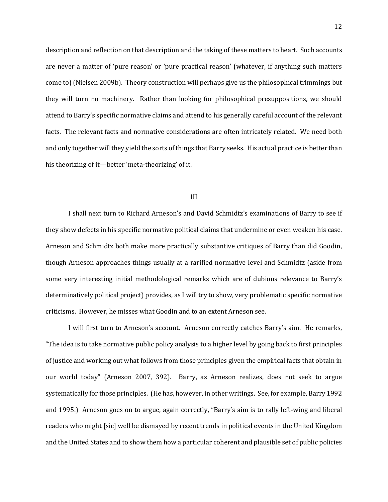description and reflection on that description and the taking of these matters to heart. Such accounts are never a matter of 'pure reason' or 'pure practical reason' (whatever, if anything such matters come to) (Nielsen 2009b). Theory construction will perhaps give us the philosophical trimmings but they will turn no machinery. Rather than looking for philosophical presuppositions, we should attend to Barry's specific normative claims and attend to his generally careful account of the relevant facts. The relevant facts and normative considerations are often intricately related. We need both and only together will they yield the sorts of things that Barry seeks. His actual practice is better than his theorizing of it—better 'meta-theorizing' of it.

## III

I shall next turn to Richard Arneson's and David Schmidtz's examinations of Barry to see if they show defects in his specific normative political claims that undermine or even weaken his case. Arneson and Schmidtz both make more practically substantive critiques of Barry than did Goodin, though Arneson approaches things usually at a rarified normative level and Schmidtz (aside from some very interesting initial methodological remarks which are of dubious relevance to Barry's determinatively political project) provides, as I will try to show, very problematic specific normative criticisms. However, he misses what Goodin and to an extent Arneson see.

I will first turn to Arneson's account. Arneson correctly catches Barry's aim. He remarks, "The idea is to take normative public policy analysis to a higher level by going back to first principles of justice and working out what follows from those principles given the empirical facts that obtain in our world today" (Arneson 2007, 392). Barry, as Arneson realizes, does not seek to argue systematically for those principles. (He has, however, in other writings. See, for example, Barry 1992 and 1995.) Arneson goes on to argue, again correctly, "Barry's aim is to rally left-wing and liberal readers who might [sic] well be dismayed by recent trends in political events in the United Kingdom and the United States and to show them how a particular coherent and plausible set of public policies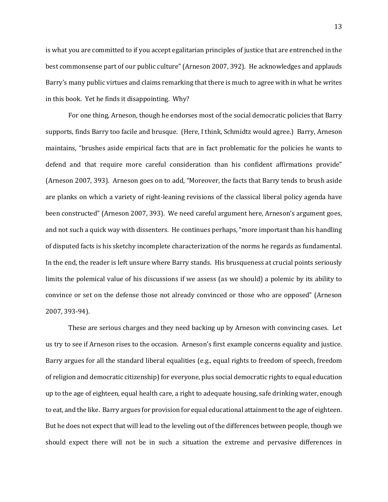is what you are committed to if you accept egalitarian principles of justice that are entrenched in the best commonsense part of our public culture" (Arneson 2007, 392). He acknowledges and applauds Barry's many public virtues and claims remarking that there is much to agree with in what he writes in this book. Yet he finds it disappointing. Why?

For one thing, Arneson, though he endorses most of the social democratic policies that Barry supports, finds Barry too facile and brusque. (Here, I think, Schmidtz would agree.) Barry, Arneson maintains, "brushes aside empirical facts that are in fact problematic for the policies he wants to defend and that require more careful consideration than his confident affirmations provide" (Arneson 2007, 393). Arneson goes on to add, "Moreover, the facts that Barry tends to brush aside are planks on which a variety of right-leaning revisions of the classical liberal policy agenda have been constructed" (Arneson 2007, 393). We need careful argument here, Arneson's argument goes, and not such a quick way with dissenters. He continues perhaps, "more important than his handling of disputed facts is his sketchy incomplete characterization of the norms he regards as fundamental. In the end, the reader is left unsure where Barry stands. His brusqueness at crucial points seriously limits the polemical value of his discussions if we assess (as we should) a polemic by its ability to convince or set on the defense those not already convinced or those who are opposed" (Arneson 2007, 393-94).

These are serious charges and they need backing up by Arneson with convincing cases. Let us try to see if Arneson rises to the occasion. Arneson's first example concerns equality and justice. Barry argues for all the standard liberal equalities (e.g., equal rights to freedom of speech, freedom of religion and democratic citizenship) for everyone, plus social democratic rights to equal education up to the age of eighteen, equal health care, a right to adequate housing, safe drinking water, enough to eat, and the like. Barry argues for provision for equal educational attainment to the age of eighteen. But he does not expect that will lead to the leveling out of the differences between people, though we should expect there will not be in such a situation the extreme and pervasive differences in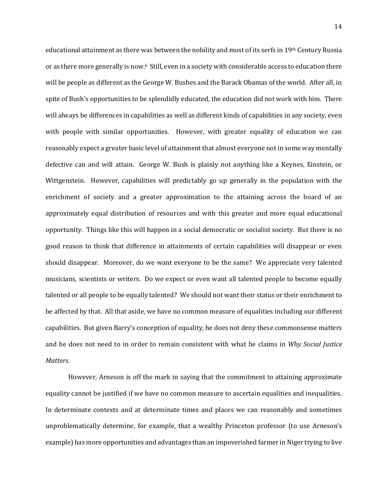educational attainment as there was between the nobility and most of its serfs in 19th Century Russia or as there more generally is now.<sup>6</sup> Still, even in a society with considerable access to education there will be people as different as the George W. Bushes and the Barack Obamas of the world. After all, in spite of Bush's opportunities to be splendidly educated, the education did not work with him. There will always be differences in capabilities as well as different kinds of capabilities in any society, even with people with similar opportunities. However, with greater equality of education we can reasonably expect a greater basic level of attainment that almost everyone not in some way mentally defective can and will attain. George W. Bush is plainly not anything like a Keynes, Einstein, or Wittgenstein. However, capabilities will predictably go up generally in the population with the enrichment of society and a greater approximation to the attaining across the board of an approximately equal distribution of resources and with this greater and more equal educational opportunity. Things like this will happen in a social democratic or socialist society. But there is no good reason to think that difference in attainments of certain capabilities will disappear or even should disappear. Moreover, do we want everyone to be the same? We appreciate very talented musicians, scientists or writers. Do we expect or even want all talented people to become equally talented or all people to be equally talented? We should not want their status or their enrichment to be affected by that. All that aside, we have no common measure of equalities including our different capabilities. But given Barry's conception of equality, he does not deny these commonsense matters and he does not need to in order to remain consistent with what he claims in *Why Social Justice Matters*.

However, Arneson is off the mark in saying that the commitment to attaining approximate equality cannot be justified if we have no common measure to ascertain equalities and inequalities. In determinate contexts and at determinate times and places we can reasonably and sometimes unproblematically determine, for example, that a wealthy Princeton professor (to use Arneson's example) has more opportunities and advantages than an impoverished farmer in Niger trying to live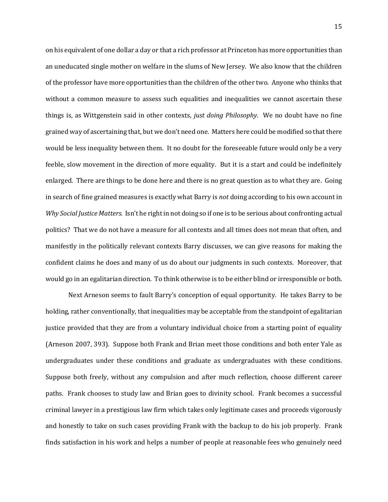on his equivalent of one dollar a day or that a rich professor at Princeton has more opportunities than an uneducated single mother on welfare in the slums of New Jersey. We also know that the children of the professor have more opportunities than the children of the other two. Anyone who thinks that without a common measure to assess such equalities and inequalities we cannot ascertain these things is, as Wittgenstein said in other contexts, *just doing Philosophy*. We no doubt have no fine grained way of ascertaining that, but we don't need one. Matters here could be modified so that there would be less inequality between them. It no doubt for the foreseeable future would only be a very feeble, slow movement in the direction of more equality. But it is a start and could be indefinitely enlarged. There are things to be done here and there is no great question as to what they are. Going in search of fine grained measures is exactly what Barry is *not* doing according to his own account in *Why Social Justice Matters.* Isn't he right in not doing so if one is to be serious about confronting actual politics? That we do not have a measure for all contexts and all times does not mean that often, and manifestly in the politically relevant contexts Barry discusses, we can give reasons for making the confident claims he does and many of us do about our judgments in such contexts. Moreover, that would go in an egalitarian direction. To think otherwise is to be either blind or irresponsible or both.

Next Arneson seems to fault Barry's conception of equal opportunity. He takes Barry to be holding, rather conventionally, that inequalities may be acceptable from the standpoint of egalitarian justice provided that they are from a voluntary individual choice from a starting point of equality (Arneson 2007, 393). Suppose both Frank and Brian meet those conditions and both enter Yale as undergraduates under these conditions and graduate as undergraduates with these conditions. Suppose both freely, without any compulsion and after much reflection, choose different career paths. Frank chooses to study law and Brian goes to divinity school. Frank becomes a successful criminal lawyer in a prestigious law firm which takes only legitimate cases and proceeds vigorously and honestly to take on such cases providing Frank with the backup to do his job properly. Frank finds satisfaction in his work and helps a number of people at reasonable fees who genuinely need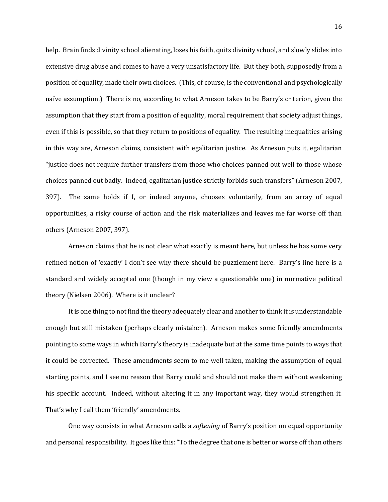help. Brain finds divinity school alienating, loses his faith, quits divinity school, and slowly slides into extensive drug abuse and comes to have a very unsatisfactory life. But they both, supposedly from a position of equality, made their own choices. (This, of course, is the conventional and psychologically naïve assumption.) There is no, according to what Arneson takes to be Barry's criterion, given the assumption that they start from a position of equality, moral requirement that society adjust things, even if this is possible, so that they return to positions of equality. The resulting inequalities arising in this way are, Arneson claims, consistent with egalitarian justice. As Arneson puts it, egalitarian "justice does not require further transfers from those who choices panned out well to those whose choices panned out badly. Indeed, egalitarian justice strictly forbids such transfers" (Arneson 2007, 397). The same holds if I, or indeed anyone, chooses voluntarily, from an array of equal opportunities, a risky course of action and the risk materializes and leaves me far worse off than others (Arneson 2007, 397).

Arneson claims that he is not clear what exactly is meant here, but unless he has some very refined notion of 'exactly' I don't see why there should be puzzlement here. Barry's line here is a standard and widely accepted one (though in my view a questionable one) in normative political theory (Nielsen 2006). Where is it unclear?

It is one thing to not find the theory adequately clear and another to think it is understandable enough but still mistaken (perhaps clearly mistaken). Arneson makes some friendly amendments pointing to some ways in which Barry's theory is inadequate but at the same time points to ways that it could be corrected. These amendments seem to me well taken, making the assumption of equal starting points, and I see no reason that Barry could and should not make them without weakening his specific account. Indeed, without altering it in any important way, they would strengthen it. That's why I call them 'friendly' amendments.

One way consists in what Arneson calls a *softening* of Barry's position on equal opportunity and personal responsibility. It goes like this: "To the degree that one is better or worse off than others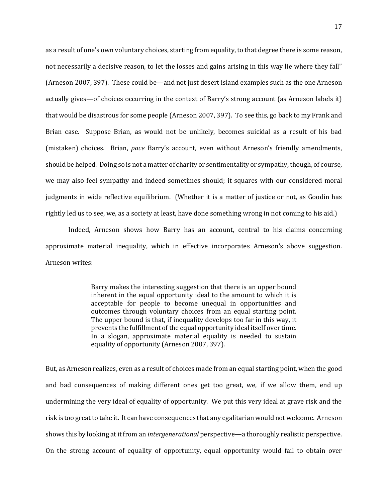as a result of one's own voluntary choices, starting from equality, to that degree there is some reason, not necessarily a decisive reason, to let the losses and gains arising in this way lie where they fall" (Arneson 2007, 397). These could be—and not just desert island examples such as the one Arneson actually gives—of choices occurring in the context of Barry's strong account (as Arneson labels it) that would be disastrous for some people (Arneson 2007, 397). To see this, go back to my Frank and Brian case. Suppose Brian, as would not be unlikely, becomes suicidal as a result of his bad (mistaken) choices. Brian, *pace* Barry's account, even without Arneson's friendly amendments, should be helped. Doing so is not a matter of charity or sentimentality or sympathy, though, of course, we may also feel sympathy and indeed sometimes should; it squares with our considered moral judgments in wide reflective equilibrium. (Whether it is a matter of justice or not, as Goodin has rightly led us to see, we, as a society at least, have done something wrong in not coming to his aid.)

Indeed, Arneson shows how Barry has an account, central to his claims concerning approximate material inequality, which in effective incorporates Arneson's above suggestion. Arneson writes:

> Barry makes the interesting suggestion that there is an upper bound inherent in the equal opportunity ideal to the amount to which it is acceptable for people to become unequal in opportunities and outcomes through voluntary choices from an equal starting point. The upper bound is that, if inequality develops too far in this way, it prevents the fulfillment of the equal opportunity ideal itself over time. In a slogan, approximate material equality is needed to sustain equality of opportunity (Arneson 2007, 397).

But, as Arneson realizes, even as a result of choices made from an equal starting point, when the good and bad consequences of making different ones get too great, we, if we allow them, end up undermining the very ideal of equality of opportunity. We put this very ideal at grave risk and the risk is too great to take it. It can have consequences that any egalitarian would not welcome. Arneson shows this by looking at it from an *intergenerational* perspective—a thoroughly realistic perspective. On the strong account of equality of opportunity, equal opportunity would fail to obtain over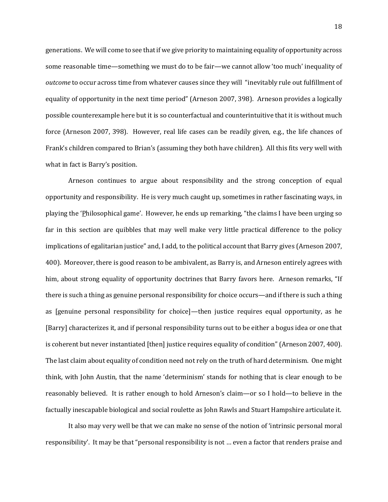generations. We will come to see that if we give priority to maintaining equality of opportunity across some reasonable time—something we must do to be fair—we cannot allow 'too much' inequality of *outcome* to occur across time from whatever causes since they will "inevitably rule out fulfillment of equality of opportunity in the next time period" (Arneson 2007, 398). Arneson provides a logically possible counterexample here but it is so counterfactual and counterintuitive that it is without much force (Arneson 2007, 398). However, real life cases can be readily given, e.g., the life chances of Frank's children compared to Brian's (assuming they both have children). All this fits very well with what in fact is Barry's position.

Arneson continues to argue about responsibility and the strong conception of equal opportunity and responsibility. He is very much caught up, sometimes in rather fascinating ways, in playing the 'Philosophical game'. However, he ends up remarking, "the claims I have been urging so far in this section are quibbles that may well make very little practical difference to the policy implications of egalitarian justice" and, I add, to the political account that Barry gives (Arneson 2007, 400). Moreover, there is good reason to be ambivalent, as Barry is, and Arneson entirely agrees with him, about strong equality of opportunity doctrines that Barry favors here. Arneson remarks, "If there is such a thing as genuine personal responsibility for choice occurs—and if there is such a thing as [genuine personal responsibility for choice]—then justice requires equal opportunity, as he [Barry] characterizes it, and if personal responsibility turns out to be either a bogus idea or one that is coherent but never instantiated [then] justice requires equality of condition" (Arneson 2007, 400). The last claim about equality of condition need not rely on the truth of hard determinism. One might think, with John Austin, that the name 'determinism' stands for nothing that is clear enough to be reasonably believed. It is rather enough to hold Arneson's claim—or so I hold—to believe in the factually inescapable biological and social roulette as John Rawls and Stuart Hampshire articulate it.

It also may very well be that we can make no sense of the notion of 'intrinsic personal moral responsibility'. It may be that "personal responsibility is not … even a factor that renders praise and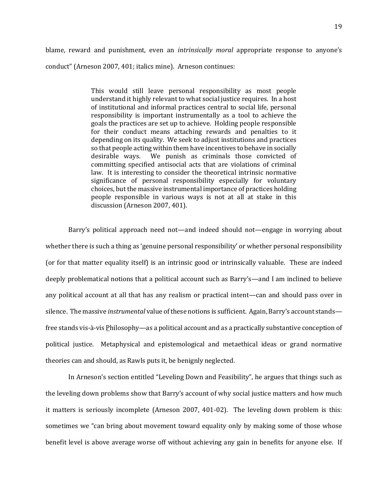blame, reward and punishment, even an *intrinsically moral* appropriate response to anyone's conduct" (Arneson 2007, 401; italics mine). Arneson continues:

> This would still leave personal responsibility as most people understand it highly relevant to what social justice requires. In a host of institutional and informal practices central to social life, personal responsibility is important instrumentally as a tool to achieve the goals the practices are set up to achieve. Holding people responsible for their conduct means attaching rewards and penalties to it depending on its quality. We seek to adjust institutions and practices so that people acting within them have incentives to behave in socially desirable ways. We punish as criminals those convicted of committing specified antisocial acts that are violations of criminal law. It is interesting to consider the theoretical intrinsic normative significance of personal responsibility especially for voluntary choices, but the massive instrumental importance of practices holding people responsible in various ways is not at all at stake in this discussion (Arneson 2007, 401).

Barry's political approach need not—and indeed should not—engage in worrying about whether there is such a thing as 'genuine personal responsibility' or whether personal responsibility (or for that matter equality itself) is an intrinsic good or intrinsically valuable. These are indeed deeply problematical notions that a political account such as Barry's—and I am inclined to believe any political account at all that has any realism or practical intent—can and should pass over in silence. The massive *instrumental* value of these notions is sufficient. Again, Barry's account stands free stands vis-à-vis Philosophy—as a political account and as a practically substantive conception of political justice. Metaphysical and epistemological and metaethical ideas or grand normative theories can and should, as Rawls puts it, be benignly neglected.

In Arneson's section entitled "Leveling Down and Feasibility", he argues that things such as the leveling down problems show that Barry's account of why social justice matters and how much it matters is seriously incomplete (Arneson 2007, 401-02). The leveling down problem is this: sometimes we "can bring about movement toward equality only by making some of those whose benefit level is above average worse off without achieving any gain in benefits for anyone else. If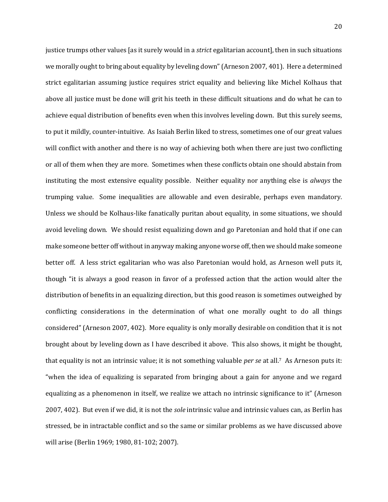justice trumps other values [as it surely would in a *strict* egalitarian account], then in such situations we morally ought to bring about equality by leveling down" (Arneson 2007, 401). Here a determined strict egalitarian assuming justice requires strict equality and believing like Michel Kolhaus that above all justice must be done will grit his teeth in these difficult situations and do what he can to achieve equal distribution of benefits even when this involves leveling down. But this surely seems, to put it mildly, counter-intuitive. As Isaiah Berlin liked to stress, sometimes one of our great values will conflict with another and there is no way of achieving both when there are just two conflicting or all of them when they are more. Sometimes when these conflicts obtain one should abstain from instituting the most extensive equality possible. Neither equality nor anything else is *always* the trumping value. Some inequalities are allowable and even desirable, perhaps even mandatory. Unless we should be Kolhaus-like fanatically puritan about equality, in some situations, we should avoid leveling down. We should resist equalizing down and go Paretonian and hold that if one can make someone better off without in anyway making anyone worse off, then we should make someone better off. A less strict egalitarian who was also Paretonian would hold, as Arneson well puts it, though "it is always a good reason in favor of a professed action that the action would alter the distribution of benefits in an equalizing direction, but this good reason is sometimes outweighed by conflicting considerations in the determination of what one morally ought to do all things considered" (Arneson 2007, 402). More equality is only morally desirable on condition that it is not brought about by leveling down as I have described it above. This also shows, it might be thought, that equality is not an intrinsic value; it is not something valuable *per se* at all.7 As Arneson puts it: "when the idea of equalizing is separated from bringing about a gain for anyone and we regard equalizing as a phenomenon in itself, we realize we attach no intrinsic significance to it" (Arneson 2007, 402). But even if we did, it is not the *sole* intrinsic value and intrinsic values can, as Berlin has stressed, be in intractable conflict and so the same or similar problems as we have discussed above will arise (Berlin 1969; 1980, 81-102; 2007).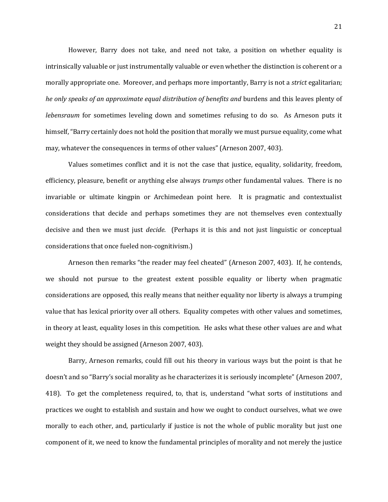However, Barry does not take, and need not take, a position on whether equality is intrinsically valuable or just instrumentally valuable or even whether the distinction is coherent or a morally appropriate one. Moreover, and perhaps more importantly, Barry is not a *strict* egalitarian; *he only speaks of an approximate equal distribution of benefits and* burdens and this leaves plenty of *lebensraum* for sometimes leveling down and sometimes refusing to do so. As Arneson puts it himself, "Barry certainly does not hold the position that morally we must pursue equality, come what may, whatever the consequences in terms of other values" (Arneson 2007, 403).

Values sometimes conflict and it is not the case that justice, equality, solidarity, freedom, efficiency, pleasure, benefit or anything else always *trumps* other fundamental values. There is no invariable or ultimate kingpin or Archimedean point here. It is pragmatic and contextualist considerations that decide and perhaps sometimes they are not themselves even contextually decisive and then we must just *decide*. (Perhaps it is this and not just linguistic or conceptual considerations that once fueled non-cognitivism.)

Arneson then remarks "the reader may feel cheated" (Arneson 2007, 403). If, he contends, we should not pursue to the greatest extent possible equality or liberty when pragmatic considerations are opposed, this really means that neither equality nor liberty is always a trumping value that has lexical priority over all others. Equality competes with other values and sometimes, in theory at least, equality loses in this competition. He asks what these other values are and what weight they should be assigned (Arneson 2007, 403).

Barry, Arneson remarks, could fill out his theory in various ways but the point is that he doesn't and so "Barry's social morality as he characterizes it is seriously incomplete" (Arneson 2007, 418). To get the completeness required, to, that is, understand "what sorts of institutions and practices we ought to establish and sustain and how we ought to conduct ourselves, what we owe morally to each other, and, particularly if justice is not the whole of public morality but just one component of it, we need to know the fundamental principles of morality and not merely the justice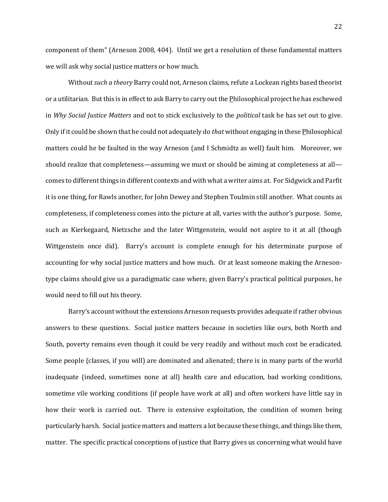component of them" (Arneson 2008, 404). Until we get a resolution of these fundamental matters we will ask why social justice matters or how much.

Without *such a theory* Barry could not, Arneson claims, refute a Lockean rights based theorist or a utilitarian. But this is in effect to ask Barry to carry out the Philosophical project he has eschewed in *Why Social Justice Matters* and not to stick exclusively to the *political* task he has set out to give. Only if it could be shown that he could not adequately do *that* without engaging in these Philosophical matters could he be faulted in the way Arneson (and I Schmidtz as well) fault him. Moreover, we should realize that completeness—assuming we must or should be aiming at completeness at all comes to different things in different contexts and with what a writer aims at. For Sidgwick and Parfit it is one thing, for Rawls another, for John Dewey and Stephen Toulmin still another. What counts as completeness, if completeness comes into the picture at all, varies with the author's purpose. Some, such as Kierkegaard, Nietzsche and the later Wittgenstein, would not aspire to it at all (though Wittgenstein once did). Barry's account is complete enough for his determinate purpose of accounting for why social justice matters and how much. Or at least someone making the Arnesontype claims should give us a paradigmatic case where, given Barry's practical political purposes, he would need to fill out his theory.

Barry's account without the extensions Arneson requests provides adequate if rather obvious answers to these questions. Social justice matters because in societies like ours, both North and South, poverty remains even though it could be very readily and without much cost be eradicated. Some people (classes, if you will) are dominated and alienated; there is in many parts of the world inadequate (indeed, sometimes none at all) health care and education, bad working conditions, sometime vile working conditions (if people have work at all) and often workers have little say in how their work is carried out. There is extensive exploitation, the condition of women being particularly harsh. Social justice matters and matters a lot because these things, and things like them, matter. The specific practical conceptions of justice that Barry gives us concerning what would have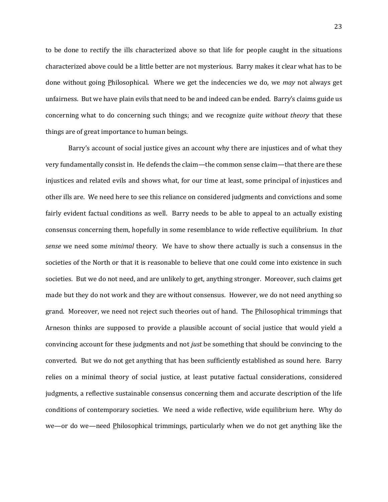to be done to rectify the ills characterized above so that life for people caught in the situations characterized above could be a little better are not mysterious. Barry makes it clear what has to be done without going Philosophical. Where we get the indecencies we do, we *may* not always get unfairness. But we have plain evils that need to be and indeed can be ended. Barry's claims guide us concerning what to do concerning such things; and we recognize *quite without theory* that these things are of great importance to human beings.

Barry's account of social justice gives an account why there are injustices and of what they very fundamentally consist in. He defends the claim—the common sense claim—that there are these injustices and related evils and shows what, for our time at least, some principal of injustices and other ills are. We need here to see this reliance on considered judgments and convictions and some fairly evident factual conditions as well. Barry needs to be able to appeal to an actually existing consensus concerning them, hopefully in some resemblance to wide reflective equilibrium. In *that sense* we need some *minimal* theory. We have to show there actually is such a consensus in the societies of the North or that it is reasonable to believe that one could come into existence in such societies. But we do not need, and are unlikely to get, anything stronger. Moreover, such claims get made but they do not work and they are without consensus. However, we do not need anything so grand. Moreover, we need not reject such theories out of hand. The Philosophical trimmings that Arneson thinks are supposed to provide a plausible account of social justice that would yield a convincing account for these judgments and not *just* be something that should be convincing to the converted. But we do not get anything that has been sufficiently established as sound here. Barry relies on a minimal theory of social justice, at least putative factual considerations, considered judgments, a reflective sustainable consensus concerning them and accurate description of the life conditions of contemporary societies. We need a wide reflective, wide equilibrium here. Why do we—or do we—need Philosophical trimmings, particularly when we do not get anything like the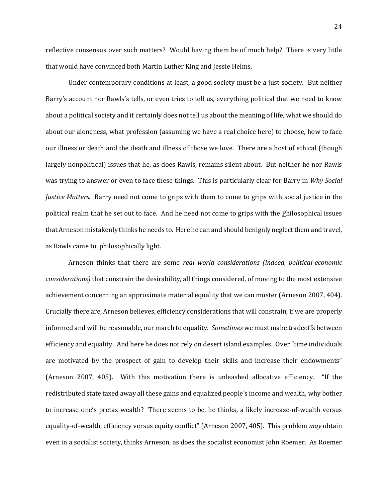reflective consensus over such matters? Would having them be of much help? There is very little that would have convinced both Martin Luther King and Jessie Helms.

Under contemporary conditions at least, a good society must be a just society. But neither Barry's account nor Rawls's tells, or even tries to tell us, everything political that we need to know about a political society and it certainly does not tell us about the meaning of life, what we should do about our aloneness, what profession (assuming we have a real choice here) to choose, how to face our illness or death and the death and illness of those we love. There are a host of ethical (though largely nonpolitical) issues that he, as does Rawls, remains silent about. But neither he nor Rawls was trying to answer or even to face these things. This is particularly clear for Barry in *Why Social Justice Matters*. Barry need not come to grips with them to come to grips with social justice in the political realm that he set out to face. And he need not come to grips with the Philosophical issues that Arneson mistakenly thinks he needs to. Here he can and should benignly neglect them and travel, as Rawls came to, philosophically light.

Arneson thinks that there are some *real world considerations (indeed, political-economic considerations)* that constrain the desirability, all things considered, of moving to the most extensive achievement concerning an approximate material equality that we can muster (Arneson 2007, 404). Crucially there are, Arneson believes, efficiency considerations that will constrain, if we are properly informed and will be reasonable, our march to equality. *Sometimes* we must make tradeoffs between efficiency and equality. And here he does not rely on desert island examples. Over "time individuals are motivated by the prospect of gain to develop their skills and increase their endowments" (Arneson 2007, 405). With this motivation there is unleashed allocative efficiency. "If the redistributed state taxed away all these gains and equalized people's income and wealth, why bother to increase one's pretax wealth? There seems to be, he thinks, a likely increase-of-wealth versus equality-of-wealth, efficiency versus equity conflict" (Arneson 2007, 405). This problem *may* obtain even in a socialist society, thinks Arneson, as does the socialist economist John Roemer. As Roemer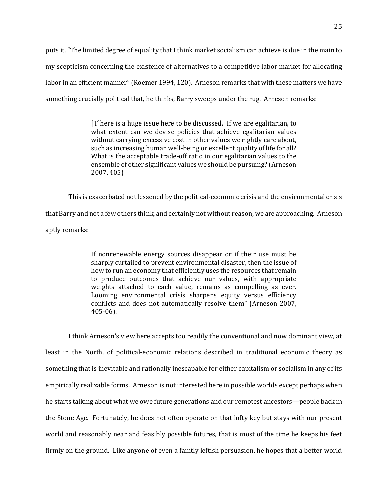puts it, "The limited degree of equality that I think market socialism can achieve is due in the main to my scepticism concerning the existence of alternatives to a competitive labor market for allocating labor in an efficient manner" (Roemer 1994, 120). Arneson remarks that with these matters we have something crucially political that, he thinks, Barry sweeps under the rug. Arneson remarks:

> [T]here is a huge issue here to be discussed. If we are egalitarian, to what extent can we devise policies that achieve egalitarian values without carrying excessive cost in other values we rightly care about, such as increasing human well-being or excellent quality of life for all? What is the acceptable trade-off ratio in our egalitarian values to the ensemble of other significant values we should be pursuing? (Arneson 2007, 405)

This is exacerbated not lessened by the political-economic crisis and the environmental crisis that Barry and not a few others think, and certainly not without reason, we are approaching. Arneson aptly remarks:

> If nonrenewable energy sources disappear or if their use must be sharply curtailed to prevent environmental disaster, then the issue of how to run an economy that efficiently uses the resources that remain to produce outcomes that achieve our values, with appropriate weights attached to each value, remains as compelling as ever. Looming environmental crisis sharpens equity versus efficiency conflicts and does not automatically resolve them" (Arneson 2007, 405-06).

I think Arneson's view here accepts too readily the conventional and now dominant view, at least in the North, of political-economic relations described in traditional economic theory as something that is inevitable and rationally inescapable for either capitalism or socialism in any of its empirically realizable forms. Arneson is not interested here in possible worlds except perhaps when he starts talking about what we owe future generations and our remotest ancestors—people back in the Stone Age. Fortunately, he does not often operate on that lofty key but stays with our present world and reasonably near and feasibly possible futures, that is most of the time he keeps his feet firmly on the ground. Like anyone of even a faintly leftish persuasion, he hopes that a better world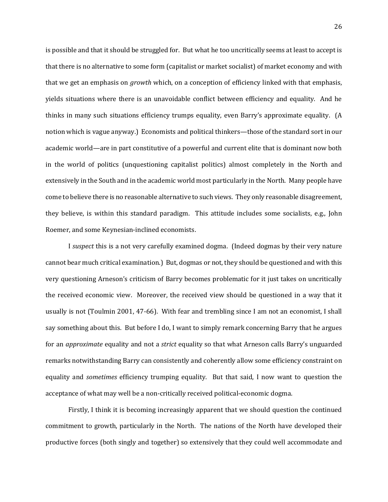is possible and that it should be struggled for. But what he too uncritically seems at least to accept is that there is no alternative to some form (capitalist or market socialist) of market economy and with that we get an emphasis on *growth* which, on a conception of efficiency linked with that emphasis, yields situations where there is an unavoidable conflict between efficiency and equality. And he thinks in many such situations efficiency trumps equality, even Barry's approximate equality. (A notion which is vague anyway.) Economists and political thinkers—those of the standard sort in our academic world—are in part constitutive of a powerful and current elite that is dominant now both in the world of politics (unquestioning capitalist politics) almost completely in the North and extensively in the South and in the academic world most particularly in the North. Many people have come to believe there is no reasonable alternative to such views. They only reasonable disagreement, they believe, is within this standard paradigm. This attitude includes some socialists, e.g., John Roemer, and some Keynesian-inclined economists.

I *suspect* this is a not very carefully examined dogma. (Indeed dogmas by their very nature cannot bear much critical examination.) But, dogmas or not, they should be questioned and with this very questioning Arneson's criticism of Barry becomes problematic for it just takes on uncritically the received economic view. Moreover, the received view should be questioned in a way that it usually is not (Toulmin 2001, 47-66). With fear and trembling since I am not an economist, I shall say something about this. But before I do, I want to simply remark concerning Barry that he argues for an *approximate* equality and not a *strict* equality so that what Arneson calls Barry's unguarded remarks notwithstanding Barry can consistently and coherently allow some efficiency constraint on equality and *sometimes* efficiency trumping equality. But that said, I now want to question the acceptance of what may well be a non-critically received political-economic dogma.

Firstly, I think it is becoming increasingly apparent that we should question the continued commitment to growth, particularly in the North. The nations of the North have developed their productive forces (both singly and together) so extensively that they could well accommodate and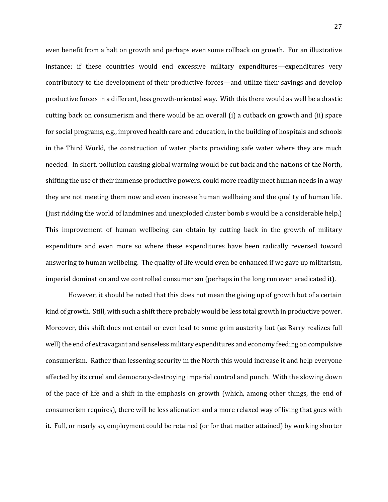even benefit from a halt on growth and perhaps even some rollback on growth. For an illustrative instance: if these countries would end excessive military expenditures—expenditures very contributory to the development of their productive forces—and utilize their savings and develop productive forces in a different, less growth-oriented way. With this there would as well be a drastic cutting back on consumerism and there would be an overall (i) a cutback on growth and (ii) space for social programs, e.g., improved health care and education, in the building of hospitals and schools in the Third World, the construction of water plants providing safe water where they are much needed. In short, pollution causing global warming would be cut back and the nations of the North, shifting the use of their immense productive powers, could more readily meet human needs in a way they are not meeting them now and even increase human wellbeing and the quality of human life. (Just ridding the world of landmines and unexploded cluster bomb s would be a considerable help.) This improvement of human wellbeing can obtain by cutting back in the growth of military expenditure and even more so where these expenditures have been radically reversed toward answering to human wellbeing. The quality of life would even be enhanced if we gave up militarism, imperial domination and we controlled consumerism (perhaps in the long run even eradicated it).

However, it should be noted that this does not mean the giving up of growth but of a certain kind of growth. Still, with such a shift there probably would be less total growth in productive power. Moreover, this shift does not entail or even lead to some grim austerity but (as Barry realizes full well) the end of extravagant and senseless military expenditures and economy feeding on compulsive consumerism. Rather than lessening security in the North this would increase it and help everyone affected by its cruel and democracy-destroying imperial control and punch. With the slowing down of the pace of life and a shift in the emphasis on growth (which, among other things, the end of consumerism requires), there will be less alienation and a more relaxed way of living that goes with it. Full, or nearly so, employment could be retained (or for that matter attained) by working shorter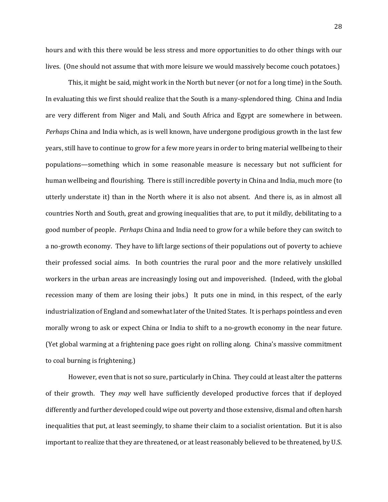hours and with this there would be less stress and more opportunities to do other things with our lives. (One should not assume that with more leisure we would massively become couch potatoes.)

This, it might be said, might work in the North but never (or not for a long time) in the South. In evaluating this we first should realize that the South is a many-splendored thing. China and India are very different from Niger and Mali, and South Africa and Egypt are somewhere in between. *Perhaps* China and India which, as is well known, have undergone prodigious growth in the last few years, still have to continue to grow for a few more years in order to bring material wellbeing to their populations—something which in some reasonable measure is necessary but not sufficient for human wellbeing and flourishing. There is still incredible poverty in China and India, much more (to utterly understate it) than in the North where it is also not absent. And there is, as in almost all countries North and South, great and growing inequalities that are, to put it mildly, debilitating to a good number of people. *Perhaps* China and India need to grow for a while before they can switch to a no-growth economy. They have to lift large sections of their populations out of poverty to achieve their professed social aims. In both countries the rural poor and the more relatively unskilled workers in the urban areas are increasingly losing out and impoverished. (Indeed, with the global recession many of them are losing their jobs.) It puts one in mind, in this respect, of the early industrialization of England and somewhat later of the United States. It is perhaps pointless and even morally wrong to ask or expect China or India to shift to a no-growth economy in the near future. (Yet global warming at a frightening pace goes right on rolling along. China's massive commitment to coal burning is frightening.)

However, even that is not so sure, particularly in China. They could at least alter the patterns of their growth. They *may* well have sufficiently developed productive forces that if deployed differently and further developed could wipe out poverty and those extensive, dismal and often harsh inequalities that put, at least seemingly, to shame their claim to a socialist orientation. But it is also important to realize that they are threatened, or at least reasonably believed to be threatened, by U.S.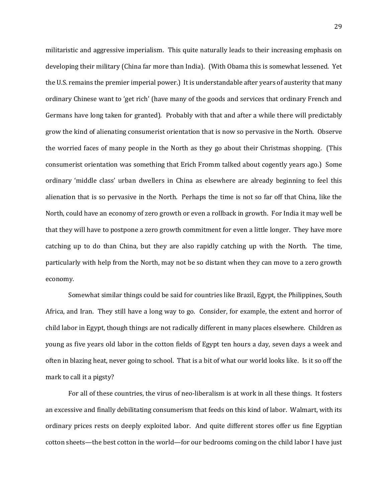militaristic and aggressive imperialism. This quite naturally leads to their increasing emphasis on developing their military (China far more than India). (With Obama this is somewhat lessened. Yet the U.S. remains the premier imperial power.) It is understandable after years of austerity that many ordinary Chinese want to 'get rich' (have many of the goods and services that ordinary French and Germans have long taken for granted). Probably with that and after a while there will predictably grow the kind of alienating consumerist orientation that is now so pervasive in the North. Observe the worried faces of many people in the North as they go about their Christmas shopping. (This consumerist orientation was something that Erich Fromm talked about cogently years ago.) Some ordinary 'middle class' urban dwellers in China as elsewhere are already beginning to feel this alienation that is so pervasive in the North. Perhaps the time is not so far off that China, like the North, could have an economy of zero growth or even a rollback in growth. For India it may well be that they will have to postpone a zero growth commitment for even a little longer. They have more catching up to do than China, but they are also rapidly catching up with the North. The time, particularly with help from the North, may not be so distant when they can move to a zero growth economy.

Somewhat similar things could be said for countries like Brazil, Egypt, the Philippines, South Africa, and Iran. They still have a long way to go. Consider, for example, the extent and horror of child labor in Egypt, though things are not radically different in many places elsewhere. Children as young as five years old labor in the cotton fields of Egypt ten hours a day, seven days a week and often in blazing heat, never going to school. That is a bit of what our world looks like. Is it so off the mark to call it a pigsty?

For all of these countries, the virus of neo-liberalism is at work in all these things. It fosters an excessive and finally debilitating consumerism that feeds on this kind of labor. Walmart, with its ordinary prices rests on deeply exploited labor. And quite different stores offer us fine Egyptian cotton sheets—the best cotton in the world—for our bedrooms coming on the child labor I have just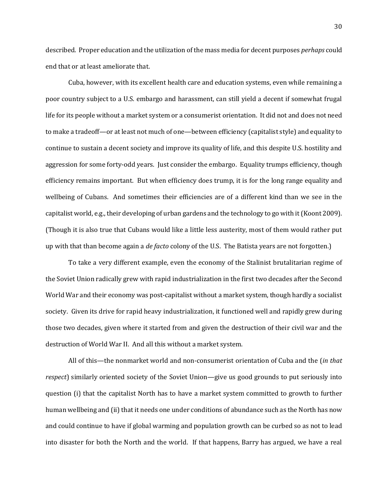described. Proper education and the utilization of the mass media for decent purposes *perhaps* could end that or at least ameliorate that.

Cuba, however, with its excellent health care and education systems, even while remaining a poor country subject to a U.S. embargo and harassment, can still yield a decent if somewhat frugal life for its people without a market system or a consumerist orientation. It did not and does not need to make a tradeoff—or at least not much of one—between efficiency (capitalist style) and equality to continue to sustain a decent society and improve its quality of life, and this despite U.S. hostility and aggression for some forty-odd years. Just consider the embargo. Equality trumps efficiency, though efficiency remains important. But when efficiency does trump, it is for the long range equality and wellbeing of Cubans. And sometimes their efficiencies are of a different kind than we see in the capitalist world, e.g., their developing of urban gardens and the technology to go with it (Koont 2009). (Though it is also true that Cubans would like a little less austerity, most of them would rather put up with that than become again a *de facto* colony of the U.S. The Batista years are not forgotten.)

To take a very different example, even the economy of the Stalinist brutalitarian regime of the Soviet Union radically grew with rapid industrialization in the first two decades after the Second World War and their economy was post-capitalist without a market system, though hardly a socialist society. Given its drive for rapid heavy industrialization, it functioned well and rapidly grew during those two decades, given where it started from and given the destruction of their civil war and the destruction of World War II. And all this without a market system.

All of this—the nonmarket world and non-consumerist orientation of Cuba and the (*in that respect*) similarly oriented society of the Soviet Union—give us good grounds to put seriously into question (i) that the capitalist North has to have a market system committed to growth to further human wellbeing and (ii) that it needs one under conditions of abundance such as the North has now and could continue to have if global warming and population growth can be curbed so as not to lead into disaster for both the North and the world. If that happens, Barry has argued, we have a real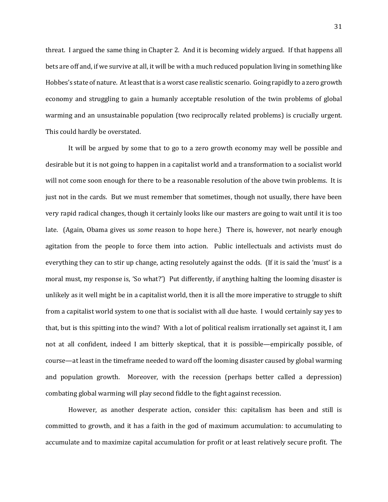threat. I argued the same thing in Chapter 2. And it is becoming widely argued. If that happens all bets are off and, if we survive at all, it will be with a much reduced population living in something like Hobbes's state of nature. At least that is a worst case realistic scenario. Going rapidly to a zero growth economy and struggling to gain a humanly acceptable resolution of the twin problems of global warming and an unsustainable population (two reciprocally related problems) is crucially urgent. This could hardly be overstated.

It will be argued by some that to go to a zero growth economy may well be possible and desirable but it is not going to happen in a capitalist world and a transformation to a socialist world will not come soon enough for there to be a reasonable resolution of the above twin problems. It is just not in the cards. But we must remember that sometimes, though not usually, there have been very rapid radical changes, though it certainly looks like our masters are going to wait until it is too late. (Again, Obama gives us *some* reason to hope here.) There is, however, not nearly enough agitation from the people to force them into action. Public intellectuals and activists must do everything they can to stir up change, acting resolutely against the odds. (If it is said the 'must' is a moral must, my response is, 'So what?') Put differently, if anything halting the looming disaster is unlikely as it well might be in a capitalist world, then it is all the more imperative to struggle to shift from a capitalist world system to one that is socialist with all due haste. I would certainly say yes to that, but is this spitting into the wind? With a lot of political realism irrationally set against it, I am not at all confident, indeed I am bitterly skeptical, that it is possible—empirically possible, of course—at least in the timeframe needed to ward off the looming disaster caused by global warming and population growth. Moreover, with the recession (perhaps better called a depression) combating global warming will play second fiddle to the fight against recession.

However, as another desperate action, consider this: capitalism has been and still is committed to growth, and it has a faith in the god of maximum accumulation: to accumulating to accumulate and to maximize capital accumulation for profit or at least relatively secure profit. The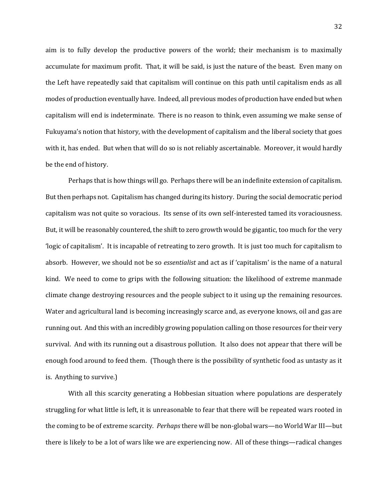aim is to fully develop the productive powers of the world; their mechanism is to maximally accumulate for maximum profit. That, it will be said, is just the nature of the beast. Even many on the Left have repeatedly said that capitalism will continue on this path until capitalism ends as all modes of production eventually have. Indeed, all previous modes of production have ended but when capitalism will end is indeterminate. There is no reason to think, even assuming we make sense of Fukuyama's notion that history, with the development of capitalism and the liberal society that goes with it, has ended. But when that will do so is not reliably ascertainable. Moreover, it would hardly be the end of history.

Perhaps that is how things will go. Perhaps there will be an indefinite extension of capitalism. But then perhaps not. Capitalism has changed during its history. During the social democratic period capitalism was not quite so voracious. Its sense of its own self-interested tamed its voraciousness. But, it will be reasonably countered, the shift to zero growth would be gigantic, too much for the very 'logic of capitalism'. It is incapable of retreating to zero growth. It is just too much for capitalism to absorb. However, we should not be so *essentialist* and act as if 'capitalism' is the name of a natural kind. We need to come to grips with the following situation: the likelihood of extreme manmade climate change destroying resources and the people subject to it using up the remaining resources. Water and agricultural land is becoming increasingly scarce and, as everyone knows, oil and gas are running out. And this with an incredibly growing population calling on those resources for their very survival. And with its running out a disastrous pollution. It also does not appear that there will be enough food around to feed them. (Though there is the possibility of synthetic food as untasty as it is. Anything to survive.)

With all this scarcity generating a Hobbesian situation where populations are desperately struggling for what little is left, it is unreasonable to fear that there will be repeated wars rooted in the coming to be of extreme scarcity. *Perhaps* there will be non-global wars—no World War III—but there is likely to be a lot of wars like we are experiencing now. All of these things—radical changes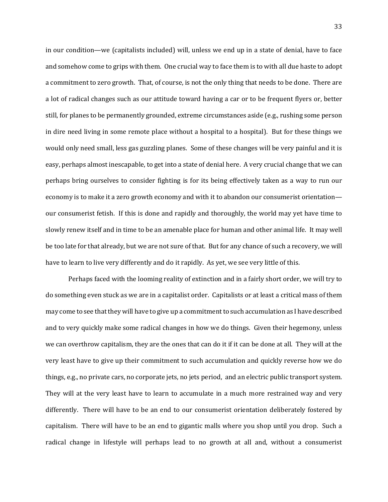in our condition—we (capitalists included) will, unless we end up in a state of denial, have to face and somehow come to grips with them. One crucial way to face them is to with all due haste to adopt a commitment to zero growth. That, of course, is not the only thing that needs to be done. There are a lot of radical changes such as our attitude toward having a car or to be frequent flyers or, better still, for planes to be permanently grounded, extreme circumstances aside (e.g., rushing some person in dire need living in some remote place without a hospital to a hospital). But for these things we would only need small, less gas guzzling planes. Some of these changes will be very painful and it is easy, perhaps almost inescapable, to get into a state of denial here. A very crucial change that we can perhaps bring ourselves to consider fighting is for its being effectively taken as a way to run our economy is to make it a zero growth economy and with it to abandon our consumerist orientation our consumerist fetish. If this is done and rapidly and thoroughly, the world may yet have time to slowly renew itself and in time to be an amenable place for human and other animal life. It may well be too late for that already, but we are not sure of that. But for any chance of such a recovery, we will have to learn to live very differently and do it rapidly. As yet, we see very little of this.

Perhaps faced with the looming reality of extinction and in a fairly short order, we will try to do something even stuck as we are in a capitalist order. Capitalists or at least a critical mass of them may come to see that they will have to give up a commitment to such accumulation as I have described and to very quickly make some radical changes in how we do things. Given their hegemony, unless we can overthrow capitalism, they are the ones that can do it if it can be done at all. They will at the very least have to give up their commitment to such accumulation and quickly reverse how we do things, e.g., no private cars, no corporate jets, no jets period, and an electric public transport system. They will at the very least have to learn to accumulate in a much more restrained way and very differently. There will have to be an end to our consumerist orientation deliberately fostered by capitalism. There will have to be an end to gigantic malls where you shop until you drop. Such a radical change in lifestyle will perhaps lead to no growth at all and, without a consumerist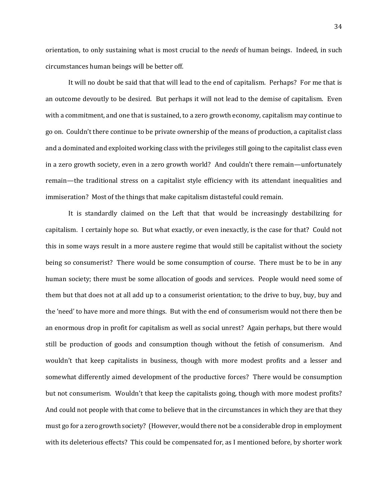orientation, to only sustaining what is most crucial to the *needs* of human beings. Indeed, in such circumstances human beings will be better off.

It will no doubt be said that that will lead to the end of capitalism. Perhaps? For me that is an outcome devoutly to be desired. But perhaps it will not lead to the demise of capitalism. Even with a commitment, and one that is sustained, to a zero growth economy, capitalism may continue to go on. Couldn't there continue to be private ownership of the means of production, a capitalist class and a dominated and exploited working class with the privileges still going to the capitalist class even in a zero growth society, even in a zero growth world? And couldn't there remain—unfortunately remain—the traditional stress on a capitalist style efficiency with its attendant inequalities and immiseration? Most of the things that make capitalism distasteful could remain.

It is standardly claimed on the Left that that would be increasingly destabilizing for capitalism. I certainly hope so. But what exactly, or even inexactly, is the case for that? Could not this in some ways result in a more austere regime that would still be capitalist without the society being so consumerist? There would be some consumption of course. There must be to be in any human society; there must be some allocation of goods and services. People would need some of them but that does not at all add up to a consumerist orientation; to the drive to buy, buy, buy and the 'need' to have more and more things. But with the end of consumerism would not there then be an enormous drop in profit for capitalism as well as social unrest? Again perhaps, but there would still be production of goods and consumption though without the fetish of consumerism. And wouldn't that keep capitalists in business, though with more modest profits and a lesser and somewhat differently aimed development of the productive forces? There would be consumption but not consumerism. Wouldn't that keep the capitalists going, though with more modest profits? And could not people with that come to believe that in the circumstances in which they are that they must go for a zero growth society? (However, would there not be a considerable drop in employment with its deleterious effects? This could be compensated for, as I mentioned before, by shorter work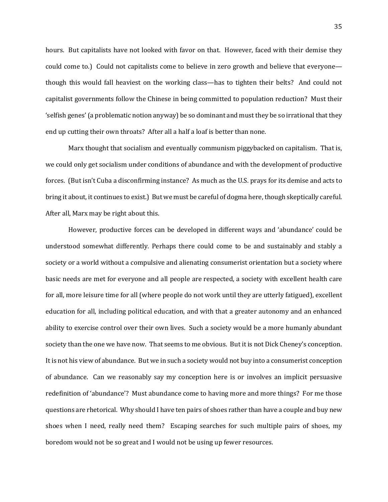hours. But capitalists have not looked with favor on that. However, faced with their demise they could come to.) Could not capitalists come to believe in zero growth and believe that everyone though this would fall heaviest on the working class—has to tighten their belts? And could not capitalist governments follow the Chinese in being committed to population reduction? Must their 'selfish genes' (a problematic notion anyway) be so dominant and must they be so irrational that they end up cutting their own throats? After all a half a loaf is better than none.

Marx thought that socialism and eventually communism piggybacked on capitalism. That is, we could only get socialism under conditions of abundance and with the development of productive forces. (But isn't Cuba a disconfirming instance? As much as the U.S. prays for its demise and acts to bring it about, it continues to exist.) But we must be careful of dogma here, though skeptically careful. After all, Marx may be right about this.

However, productive forces can be developed in different ways and 'abundance' could be understood somewhat differently. Perhaps there could come to be and sustainably and stably a society or a world without a compulsive and alienating consumerist orientation but a society where basic needs are met for everyone and all people are respected, a society with excellent health care for all, more leisure time for all (where people do not work until they are utterly fatigued), excellent education for all, including political education, and with that a greater autonomy and an enhanced ability to exercise control over their own lives. Such a society would be a more humanly abundant society than the one we have now. That seems to me obvious. But it is not Dick Cheney's conception. It is not his view of abundance. But we in such a society would not buy into a consumerist conception of abundance. Can we reasonably say my conception here is or involves an implicit persuasive redefinition of 'abundance'? Must abundance come to having more and more things? For me those questions are rhetorical. Why should I have ten pairs of shoes rather than have a couple and buy new shoes when I need, really need them? Escaping searches for such multiple pairs of shoes, my boredom would not be so great and I would not be using up fewer resources.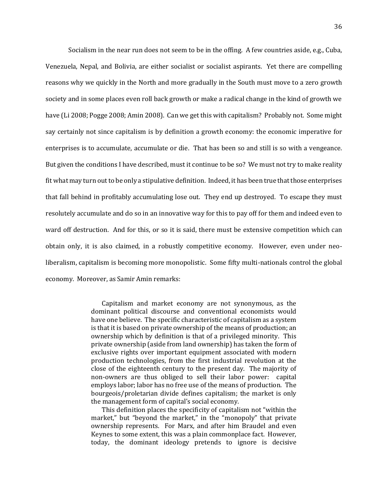Socialism in the near run does not seem to be in the offing. A few countries aside, e.g., Cuba, Venezuela, Nepal, and Bolivia, are either socialist or socialist aspirants. Yet there are compelling reasons why we quickly in the North and more gradually in the South must move to a zero growth society and in some places even roll back growth or make a radical change in the kind of growth we have (Li 2008; Pogge 2008; Amin 2008). Can we get this with capitalism? Probably not. Some might say certainly not since capitalism is by definition a growth economy: the economic imperative for enterprises is to accumulate, accumulate or die. That has been so and still is so with a vengeance. But given the conditions I have described, must it continue to be so? We must not try to make reality fit what may turn out to be only a stipulative definition. Indeed, it has been true that those enterprises that fall behind in profitably accumulating lose out. They end up destroyed. To escape they must resolutely accumulate and do so in an innovative way for this to pay off for them and indeed even to ward off destruction. And for this, or so it is said, there must be extensive competition which can obtain only, it is also claimed, in a robustly competitive economy. However, even under neoliberalism, capitalism is becoming more monopolistic. Some fifty multi-nationals control the global economy. Moreover, as Samir Amin remarks:

> Capitalism and market economy are not synonymous, as the dominant political discourse and conventional economists would have one believe. The specific characteristic of capitalism as a system is that it is based on private ownership of the means of production; an ownership which by definition is that of a privileged minority. This private ownership (aside from land ownership) has taken the form of exclusive rights over important equipment associated with modern production technologies, from the first industrial revolution at the close of the eighteenth century to the present day. The majority of non-owners are thus obliged to sell their labor power: capital employs labor; labor has no free use of the means of production. The bourgeois/proletarian divide defines capitalism; the market is only the management form of capital's social economy.

> This definition places the specificity of capitalism not "within the market," but "beyond the market," in the "monopoly" that private ownership represents. For Marx, and after him Braudel and even Keynes to some extent, this was a plain commonplace fact. However, today, the dominant ideology pretends to ignore is decisive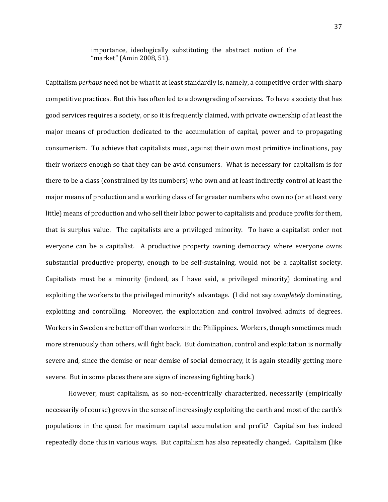importance, ideologically substituting the abstract notion of the "market" (Amin 2008, 51).

Capitalism *perhaps* need not be what it at least standardly is, namely, a competitive order with sharp competitive practices. But this has often led to a downgrading of services. To have a society that has good services requires a society, or so it is frequently claimed, with private ownership of at least the major means of production dedicated to the accumulation of capital, power and to propagating consumerism. To achieve that capitalists must, against their own most primitive inclinations, pay their workers enough so that they can be avid consumers. What is necessary for capitalism is for there to be a class (constrained by its numbers) who own and at least indirectly control at least the major means of production and a working class of far greater numbers who own no (or at least very little) means of production and who sell their labor power to capitalists and produce profits for them, that is surplus value. The capitalists are a privileged minority. To have a capitalist order not everyone can be a capitalist. A productive property owning democracy where everyone owns substantial productive property, enough to be self-sustaining, would not be a capitalist society. Capitalists must be a minority (indeed, as I have said, a privileged minority) dominating and exploiting the workers to the privileged minority's advantage. (I did not say *completely* dominating, exploiting and controlling. Moreover, the exploitation and control involved admits of degrees. Workers in Sweden are better off than workers in the Philippines. Workers, though sometimes much more strenuously than others, will fight back. But domination, control and exploitation is normally severe and, since the demise or near demise of social democracy, it is again steadily getting more severe. But in some places there are signs of increasing fighting back.)

However, must capitalism, as so non-eccentrically characterized, necessarily (empirically necessarily of course) grows in the sense of increasingly exploiting the earth and most of the earth's populations in the quest for maximum capital accumulation and profit? Capitalism has indeed repeatedly done this in various ways. But capitalism has also repeatedly changed. Capitalism (like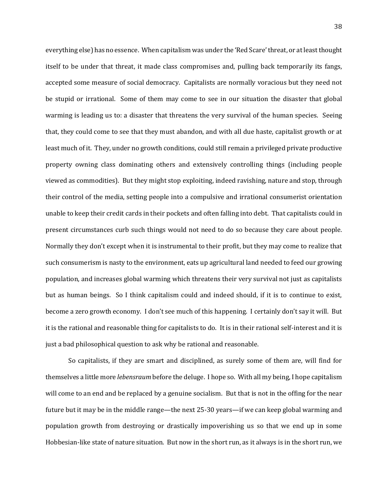everything else) has no essence. When capitalism was under the 'Red Scare' threat, or at least thought itself to be under that threat, it made class compromises and, pulling back temporarily its fangs, accepted some measure of social democracy. Capitalists are normally voracious but they need not be stupid or irrational. Some of them may come to see in our situation the disaster that global warming is leading us to: a disaster that threatens the very survival of the human species. Seeing that, they could come to see that they must abandon, and with all due haste, capitalist growth or at least much of it. They, under no growth conditions, could still remain a privileged private productive property owning class dominating others and extensively controlling things (including people viewed as commodities). But they might stop exploiting, indeed ravishing, nature and stop, through their control of the media, setting people into a compulsive and irrational consumerist orientation unable to keep their credit cards in their pockets and often falling into debt. That capitalists could in present circumstances curb such things would not need to do so because they care about people. Normally they don't except when it is instrumental to their profit, but they may come to realize that such consumerism is nasty to the environment, eats up agricultural land needed to feed our growing population, and increases global warming which threatens their very survival not just as capitalists but as human beings. So I think capitalism could and indeed should, if it is to continue to exist, become a zero growth economy. I don't see much of this happening. I certainly don't say it will. But it is the rational and reasonable thing for capitalists to do. It is in their rational self-interest and it is just a bad philosophical question to ask why be rational and reasonable.

So capitalists, if they are smart and disciplined, as surely some of them are, will find for themselves a little more *lebensraum* before the deluge. I hope so. With all my being, I hope capitalism will come to an end and be replaced by a genuine socialism. But that is not in the offing for the near future but it may be in the middle range—the next 25-30 years—if we can keep global warming and population growth from destroying or drastically impoverishing us so that we end up in some Hobbesian-like state of nature situation. But now in the short run, as it always is in the short run, we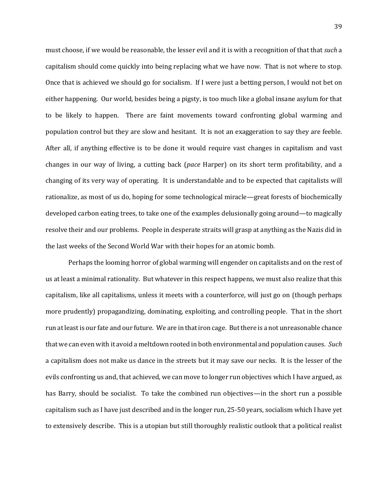must choose, if we would be reasonable, the lesser evil and it is with a recognition of that that *such* a capitalism should come quickly into being replacing what we have now. That is not where to stop. Once that is achieved we should go for socialism. If I were just a betting person, I would not bet on either happening. Our world, besides being a pigsty, is too much like a global insane asylum for that to be likely to happen. There are faint movements toward confronting global warming and population control but they are slow and hesitant. It is not an exaggeration to say they are feeble. After all, if anything effective is to be done it would require vast changes in capitalism and vast changes in our way of living, a cutting back (*pace* Harper) on its short term profitability, and a changing of its very way of operating. It is understandable and to be expected that capitalists will rationalize, as most of us do, hoping for some technological miracle—great forests of biochemically developed carbon eating trees, to take one of the examples delusionally going around—to magically resolve their and our problems. People in desperate straits will grasp at anything as the Nazis did in the last weeks of the Second World War with their hopes for an atomic bomb.

Perhaps the looming horror of global warming will engender on capitalists and on the rest of us at least a minimal rationality. But whatever in this respect happens, we must also realize that this capitalism, like all capitalisms, unless it meets with a counterforce, will just go on (though perhaps more prudently) propagandizing, dominating, exploiting, and controlling people. That in the short run at least is our fate and our future. We are in that iron cage. But there is a not unreasonable chance that we can even with it avoid a meltdown rooted in both environmental and population causes. *Such* a capitalism does not make us dance in the streets but it may save our necks. It is the lesser of the evils confronting us and, that achieved, we can move to longer run objectives which I have argued, as has Barry, should be socialist. To take the combined run objectives—in the short run a possible capitalism such as I have just described and in the longer run, 25-50 years, socialism which I have yet to extensively describe. This is a utopian but still thoroughly realistic outlook that a political realist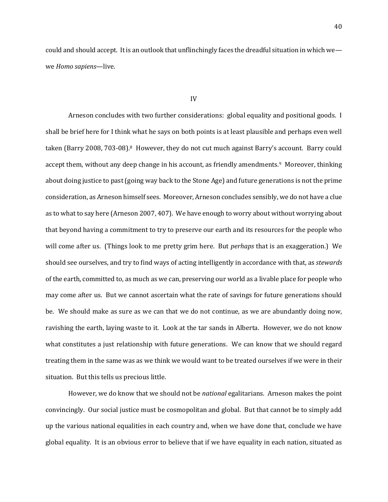could and should accept. It is an outlook that unflinchingly faces the dreadful situation in which we we *Homo sapiens*—live.

## IV

Arneson concludes with two further considerations: global equality and positional goods. I shall be brief here for I think what he says on both points is at least plausible and perhaps even well taken (Barry 2008, 703-08).<sup>8</sup> However, they do not cut much against Barry's account. Barry could accept them, without any deep change in his account, as friendly amendments.9 Moreover, thinking about doing justice to past (going way back to the Stone Age) and future generations is not the prime consideration, as Arneson himself sees. Moreover, Arneson concludes sensibly, we do not have a clue as to what to say here (Arneson 2007, 407). We have enough to worry about without worrying about that beyond having a commitment to try to preserve our earth and its resources for the people who will come after us. (Things look to me pretty grim here. But *perhaps* that is an exaggeration.) We should see ourselves, and try to find ways of acting intelligently in accordance with that, as *stewards* of the earth, committed to, as much as we can, preserving our world as a livable place for people who may come after us. But we cannot ascertain what the rate of savings for future generations should be. We should make as sure as we can that we do not continue, as we are abundantly doing now, ravishing the earth, laying waste to it. Look at the tar sands in Alberta. However, we do not know what constitutes a just relationship with future generations. We can know that we should regard treating them in the same was as we think we would want to be treated ourselves if we were in their situation. But this tells us precious little.

However, we do know that we should not be *national* egalitarians. Arneson makes the point convincingly. Our social justice must be cosmopolitan and global. But that cannot be to simply add up the various national equalities in each country and, when we have done that, conclude we have global equality. It is an obvious error to believe that if we have equality in each nation, situated as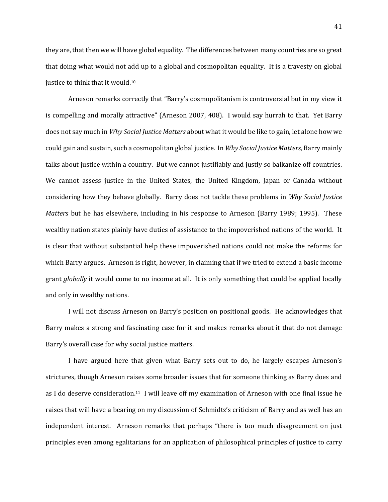they are, that then we will have global equality. The differences between many countries are so great that doing what would not add up to a global and cosmopolitan equality. It is a travesty on global justice to think that it would.<sup>10</sup>

Arneson remarks correctly that "Barry's cosmopolitanism is controversial but in my view it is compelling and morally attractive" (Arneson 2007, 408). I would say hurrah to that. Yet Barry does not say much in *Why Social Justice Matters* about what it would be like to gain, let alone how we could gain and sustain, such a cosmopolitan global justice. In *Why Social Justice Matters,* Barry mainly talks about justice within a country. But we cannot justifiably and justly so balkanize off countries. We cannot assess justice in the United States, the United Kingdom, Japan or Canada without considering how they behave globally. Barry does not tackle these problems in *Why Social Justice Matters* but he has elsewhere, including in his response to Arneson (Barry 1989; 1995). These wealthy nation states plainly have duties of assistance to the impoverished nations of the world. It is clear that without substantial help these impoverished nations could not make the reforms for which Barry argues. Arneson is right, however, in claiming that if we tried to extend a basic income grant *globally* it would come to no income at all. It is only something that could be applied locally and only in wealthy nations.

I will not discuss Arneson on Barry's position on positional goods. He acknowledges that Barry makes a strong and fascinating case for it and makes remarks about it that do not damage Barry's overall case for why social justice matters.

I have argued here that given what Barry sets out to do, he largely escapes Arneson's strictures, though Arneson raises some broader issues that for someone thinking as Barry does and as I do deserve consideration.<sup>11</sup> I will leave off my examination of Arneson with one final issue he raises that will have a bearing on my discussion of Schmidtz's criticism of Barry and as well has an independent interest. Arneson remarks that perhaps "there is too much disagreement on just principles even among egalitarians for an application of philosophical principles of justice to carry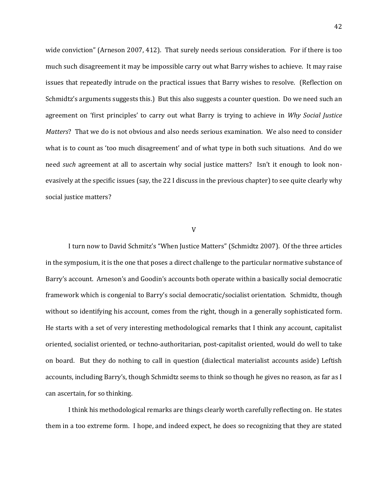wide conviction" (Arneson 2007, 412). That surely needs serious consideration. For if there is too much such disagreement it may be impossible carry out what Barry wishes to achieve. It may raise issues that repeatedly intrude on the practical issues that Barry wishes to resolve. (Reflection on Schmidtz's arguments suggests this.) But this also suggests a counter question. Do we need such an agreement on 'first principles' to carry out what Barry is trying to achieve in *Why Social Justice Matters*? That we do is not obvious and also needs serious examination. We also need to consider what is to count as 'too much disagreement' and of what type in both such situations. And do we need *such* agreement at all to ascertain why social justice matters? Isn't it enough to look nonevasively at the specific issues (say, the 22 I discuss in the previous chapter) to see quite clearly why social justice matters?

## V

I turn now to David Schmitz's "When Justice Matters" (Schmidtz 2007). Of the three articles in the symposium, it is the one that poses a direct challenge to the particular normative substance of Barry's account. Arneson's and Goodin's accounts both operate within a basically social democratic framework which is congenial to Barry's social democratic/socialist orientation. Schmidtz, though without so identifying his account, comes from the right, though in a generally sophisticated form. He starts with a set of very interesting methodological remarks that I think any account, capitalist oriented, socialist oriented, or techno-authoritarian, post-capitalist oriented, would do well to take on board. But they do nothing to call in question (dialectical materialist accounts aside) Leftish accounts, including Barry's, though Schmidtz seems to think so though he gives no reason, as far as I can ascertain, for so thinking.

I think his methodological remarks are things clearly worth carefully reflecting on. He states them in a too extreme form. I hope, and indeed expect, he does so recognizing that they are stated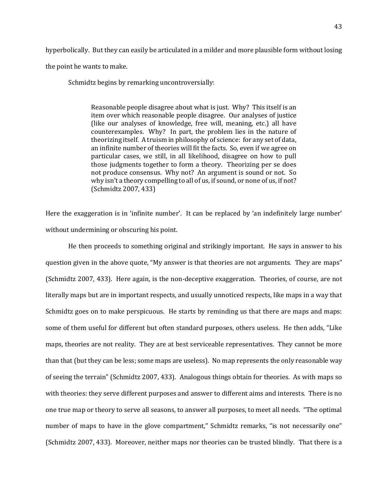hyperbolically. But they can easily be articulated in a milder and more plausible form without losing the point he wants to make.

Schmidtz begins by remarking uncontroversially:

Reasonable people disagree about what is just. Why? This itself is an item over which reasonable people disagree. Our analyses of justice (like our analyses of knowledge, free will, meaning, etc.) all have counterexamples. Why? In part, the problem lies in the nature of theorizing itself. A truism in philosophy of science: for any set of data, an infinite number of theories will fit the facts. So, even if we agree on particular cases, we still, in all likelihood, disagree on how to pull those judgments together to form a theory. Theorizing per se does not produce consensus. Why not? An argument is sound or not. So why isn't a theory compelling to all of us, if sound, or none of us, if not? (Schmidtz 2007, 433)

Here the exaggeration is in 'infinite number'. It can be replaced by 'an indefinitely large number' without undermining or obscuring his point.

He then proceeds to something original and strikingly important. He says in answer to his question given in the above quote, "My answer is that theories are not arguments. They are maps" (Schmidtz 2007, 433). Here again, is the non-deceptive exaggeration. Theories, of course, are not literally maps but are in important respects, and usually unnoticed respects, like maps in a way that Schmidtz goes on to make perspicuous. He starts by reminding us that there are maps and maps: some of them useful for different but often standard purposes, others useless. He then adds, "Like maps, theories are not reality. They are at best serviceable representatives. They cannot be more than that (but they can be less; some maps are useless). No map represents the only reasonable way of seeing the terrain" (Schmidtz 2007, 433). Analogous things obtain for theories. As with maps so with theories: they serve different purposes and answer to different aims and interests. There is no one true map or theory to serve all seasons, to answer all purposes, to meet all needs. "The optimal number of maps to have in the glove compartment," Schmidtz remarks, "is not necessarily one" (Schmidtz 2007, 433). Moreover, neither maps nor theories can be trusted blindly. That there is a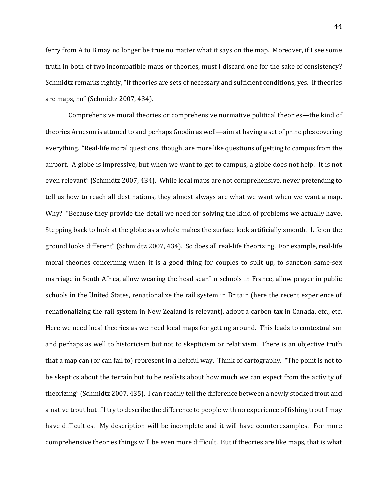ferry from A to B may no longer be true no matter what it says on the map. Moreover, if I see some truth in both of two incompatible maps or theories, must I discard one for the sake of consistency? Schmidtz remarks rightly, "If theories are sets of necessary and sufficient conditions, yes. If theories are maps, no" (Schmidtz 2007, 434).

Comprehensive moral theories or comprehensive normative political theories—the kind of theories Arneson is attuned to and perhaps Goodin as well—aim at having a set of principles covering everything. "Real-life moral questions, though, are more like questions of getting to campus from the airport. A globe is impressive, but when we want to get to campus, a globe does not help. It is not even relevant" (Schmidtz 2007, 434). While local maps are not comprehensive, never pretending to tell us how to reach all destinations, they almost always are what we want when we want a map. Why? "Because they provide the detail we need for solving the kind of problems we actually have. Stepping back to look at the globe as a whole makes the surface look artificially smooth. Life on the ground looks different" (Schmidtz 2007, 434). So does all real-life theorizing. For example, real-life moral theories concerning when it is a good thing for couples to split up, to sanction same-sex marriage in South Africa, allow wearing the head scarf in schools in France, allow prayer in public schools in the United States, renationalize the rail system in Britain (here the recent experience of renationalizing the rail system in New Zealand is relevant), adopt a carbon tax in Canada, etc., etc. Here we need local theories as we need local maps for getting around. This leads to contextualism and perhaps as well to historicism but not to skepticism or relativism. There is an objective truth that a map can (or can fail to) represent in a helpful way. Think of cartography. "The point is not to be skeptics about the terrain but to be realists about how much we can expect from the activity of theorizing" (Schmidtz 2007, 435). I can readily tell the difference between a newly stocked trout and a native trout but if I try to describe the difference to people with no experience of fishing trout I may have difficulties. My description will be incomplete and it will have counterexamples. For more comprehensive theories things will be even more difficult. But if theories are like maps, that is what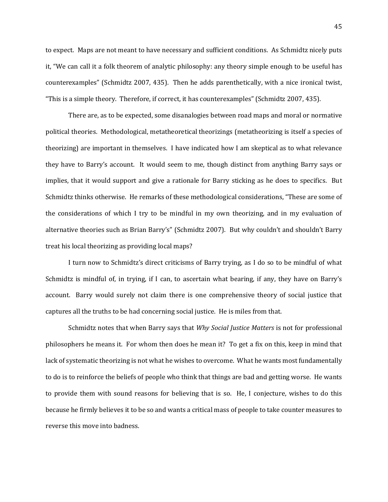to expect. Maps are not meant to have necessary and sufficient conditions. As Schmidtz nicely puts it, "We can call it a folk theorem of analytic philosophy: any theory simple enough to be useful has counterexamples" (Schmidtz 2007, 435). Then he adds parenthetically, with a nice ironical twist, "This is a simple theory. Therefore, if correct, it has counterexamples" (Schmidtz 2007, 435).

There are, as to be expected, some disanalogies between road maps and moral or normative political theories. Methodological, metatheoretical theorizings (metatheorizing is itself a species of theorizing) are important in themselves. I have indicated how I am skeptical as to what relevance they have to Barry's account. It would seem to me, though distinct from anything Barry says or implies, that it would support and give a rationale for Barry sticking as he does to specifics. But Schmidtz thinks otherwise. He remarks of these methodological considerations, "These are some of the considerations of which I try to be mindful in my own theorizing, and in my evaluation of alternative theories such as Brian Barry's" (Schmidtz 2007). But why couldn't and shouldn't Barry treat his local theorizing as providing local maps?

I turn now to Schmidtz's direct criticisms of Barry trying, as I do so to be mindful of what Schmidtz is mindful of, in trying, if I can, to ascertain what bearing, if any, they have on Barry's account. Barry would surely not claim there is one comprehensive theory of social justice that captures all the truths to be had concerning social justice. He is miles from that.

Schmidtz notes that when Barry says that *Why Social Justice Matters* is not for professional philosophers he means it. For whom then does he mean it? To get a fix on this, keep in mind that lack of systematic theorizing is not what he wishes to overcome. What he wants most fundamentally to do is to reinforce the beliefs of people who think that things are bad and getting worse. He wants to provide them with sound reasons for believing that is so. He, I conjecture, wishes to do this because he firmly believes it to be so and wants a critical mass of people to take counter measures to reverse this move into badness.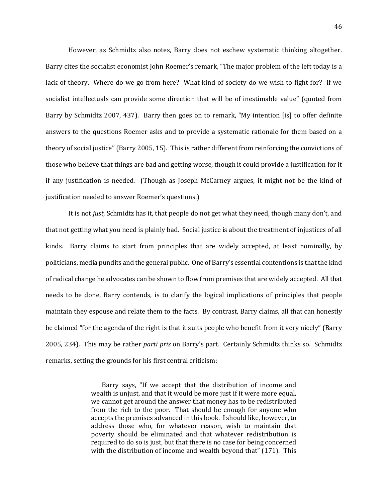However, as Schmidtz also notes, Barry does not eschew systematic thinking altogether. Barry cites the socialist economist John Roemer's remark, "The major problem of the left today is a lack of theory. Where do we go from here? What kind of society do we wish to fight for? If we socialist intellectuals can provide some direction that will be of inestimable value" (quoted from Barry by Schmidtz 2007, 437). Barry then goes on to remark, "My intention [is] to offer definite answers to the questions Roemer asks and to provide a systematic rationale for them based on a theory of social justice" (Barry 2005, 15). This is rather different from reinforcing the convictions of those who believe that things are bad and getting worse, though it could provide a justification for it if any justification is needed. (Though as Joseph McCarney argues, it might not be the kind of justification needed to answer Roemer's questions.)

It is not *just*, Schmidtz has it, that people do not get what they need, though many don't, and that not getting what you need is plainly bad. Social justice is about the treatment of injustices of all kinds. Barry claims to start from principles that are widely accepted, at least nominally, by politicians, media pundits and the general public. One of Barry's essential contentions is that the kind of radical change he advocates can be shown to flow from premises that are widely accepted. All that needs to be done, Barry contends, is to clarify the logical implications of principles that people maintain they espouse and relate them to the facts. By contrast, Barry claims, all that can honestly be claimed "for the agenda of the right is that it suits people who benefit from it very nicely" (Barry 2005, 234). This may be rather *parti pris* on Barry's part. Certainly Schmidtz thinks so. Schmidtz remarks, setting the grounds for his first central criticism:

> Barry says, "If we accept that the distribution of income and wealth is unjust, and that it would be more just if it were more equal, we cannot get around the answer that money has to be redistributed from the rich to the poor. That should be enough for anyone who accepts the premises advanced in this book. I should like, however, to address those who, for whatever reason, wish to maintain that poverty should be eliminated and that whatever redistribution is required to do so is just, but that there is no case for being concerned with the distribution of income and wealth beyond that" (171). This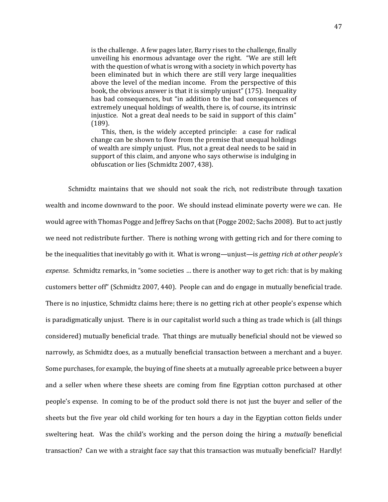is the challenge. A few pages later, Barry rises to the challenge, finally unveiling his enormous advantage over the right. "We are still left with the question of what is wrong with a society in which poverty has been eliminated but in which there are still very large inequalities above the level of the median income. From the perspective of this book, the obvious answer is that it is simply unjust" (175). Inequality has bad consequences, but "in addition to the bad consequences of extremely unequal holdings of wealth, there is, of course, its intrinsic injustice. Not a great deal needs to be said in support of this claim" (189).

 This, then, is the widely accepted principle: a case for radical change can be shown to flow from the premise that unequal holdings of wealth are simply unjust. Plus, not a great deal needs to be said in support of this claim, and anyone who says otherwise is indulging in obfuscation or lies (Schmidtz 2007, 438).

Schmidtz maintains that we should not soak the rich, not redistribute through taxation wealth and income downward to the poor. We should instead eliminate poverty were we can. He would agree with Thomas Pogge and Jeffrey Sachs on that (Pogge 2002; Sachs 2008). But to act justly we need not redistribute further. There is nothing wrong with getting rich and for there coming to be the inequalities that inevitably go with it. What is wrong—unjust—is *getting rich at other people's expense*. Schmidtz remarks, in "some societies … there is another way to get rich: that is by making customers better off" (Schmidtz 2007, 440). People can and do engage in mutually beneficial trade. There is no injustice, Schmidtz claims here; there is no getting rich at other people's expense which is paradigmatically unjust. There is in our capitalist world such a thing as trade which is (all things considered) mutually beneficial trade. That things are mutually beneficial should not be viewed so narrowly, as Schmidtz does, as a mutually beneficial transaction between a merchant and a buyer. Some purchases, for example, the buying of fine sheets at a mutually agreeable price between a buyer and a seller when where these sheets are coming from fine Egyptian cotton purchased at other people's expense. In coming to be of the product sold there is not just the buyer and seller of the sheets but the five year old child working for ten hours a day in the Egyptian cotton fields under sweltering heat. Was the child's working and the person doing the hiring a *mutually* beneficial transaction? Can we with a straight face say that this transaction was mutually beneficial? Hardly!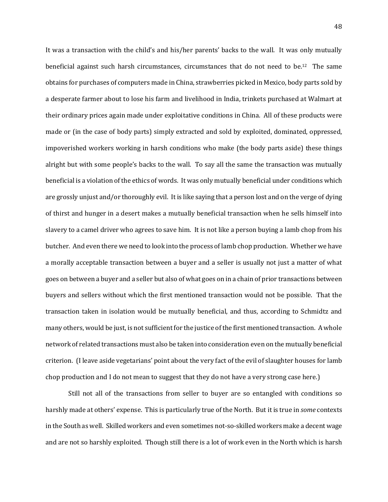It was a transaction with the child's and his/her parents' backs to the wall. It was only mutually beneficial against such harsh circumstances, circumstances that do not need to be.12 The same obtains for purchases of computers made in China, strawberries picked in Mexico, body parts sold by a desperate farmer about to lose his farm and livelihood in India, trinkets purchased at Walmart at their ordinary prices again made under exploitative conditions in China. All of these products were made or (in the case of body parts) simply extracted and sold by exploited, dominated, oppressed, impoverished workers working in harsh conditions who make (the body parts aside) these things alright but with some people's backs to the wall. To say all the same the transaction was mutually beneficial is a violation of the ethics of words. It was only mutually beneficial under conditions which are grossly unjust and/or thoroughly evil. It is like saying that a person lost and on the verge of dying of thirst and hunger in a desert makes a mutually beneficial transaction when he sells himself into slavery to a camel driver who agrees to save him. It is not like a person buying a lamb chop from his butcher. And even there we need to look into the process of lamb chop production. Whether we have a morally acceptable transaction between a buyer and a seller is usually not just a matter of what goes on between a buyer and a seller but also of what goes on in a chain of prior transactions between buyers and sellers without which the first mentioned transaction would not be possible. That the transaction taken in isolation would be mutually beneficial, and thus, according to Schmidtz and many others, would be just, is not sufficient for the justice of the first mentioned transaction. A whole network of related transactions must also be taken into consideration even on the mutually beneficial criterion. (I leave aside vegetarians' point about the very fact of the evil of slaughter houses for lamb chop production and I do not mean to suggest that they do not have a very strong case here.)

Still not all of the transactions from seller to buyer are so entangled with conditions so harshly made at others' expense. This is particularly true of the North. But it is true in *some* contexts in the South as well. Skilled workers and even sometimes not-so-skilled workers make a decent wage and are not so harshly exploited. Though still there is a lot of work even in the North which is harsh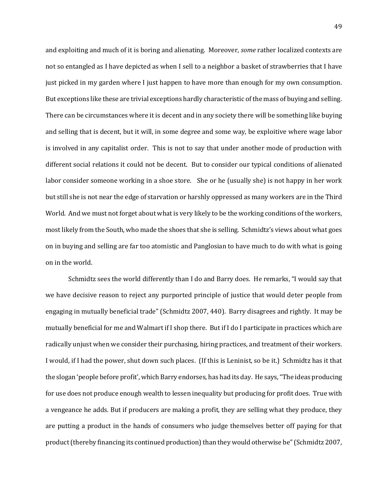and exploiting and much of it is boring and alienating. Moreover, *some* rather localized contexts are not so entangled as I have depicted as when I sell to a neighbor a basket of strawberries that I have just picked in my garden where I just happen to have more than enough for my own consumption. But exceptions like these are trivial exceptions hardly characteristic of the mass of buying and selling. There can be circumstances where it is decent and in any society there will be something like buying and selling that is decent, but it will, in some degree and some way, be exploitive where wage labor is involved in any capitalist order. This is not to say that under another mode of production with different social relations it could not be decent. But to consider our typical conditions of alienated labor consider someone working in a shoe store. She or he (usually she) is not happy in her work but still she is not near the edge of starvation or harshly oppressed as many workers are in the Third World. And we must not forget about what is very likely to be the working conditions of the workers, most likely from the South, who made the shoes that she is selling. Schmidtz's views about what goes on in buying and selling are far too atomistic and Panglosian to have much to do with what is going on in the world.

Schmidtz sees the world differently than I do and Barry does. He remarks, "I would say that we have decisive reason to reject any purported principle of justice that would deter people from engaging in mutually beneficial trade" (Schmidtz 2007, 440). Barry disagrees and rightly. It may be mutually beneficial for me and Walmart if I shop there. But if I do I participate in practices which are radically unjust when we consider their purchasing, hiring practices, and treatment of their workers. I would, if I had the power, shut down such places. (If this is Leninist, so be it.) Schmidtz has it that the slogan 'people before profit', which Barry endorses, has had its day. He says, "The ideas producing for use does not produce enough wealth to lessen inequality but producing for profit does. True with a vengeance he adds. But if producers are making a profit, they are selling what they produce, they are putting a product in the hands of consumers who judge themselves better off paying for that product (thereby financing its continued production) than they would otherwise be" (Schmidtz 2007,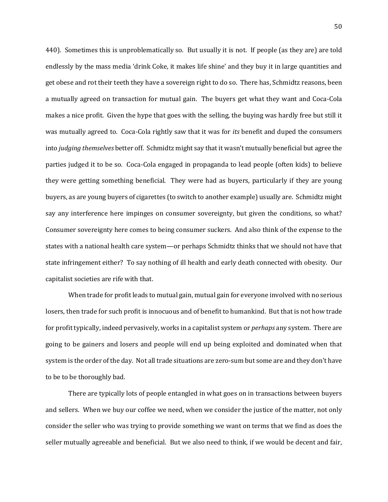440). Sometimes this is unproblematically so. But usually it is not. If people (as they are) are told endlessly by the mass media 'drink Coke, it makes life shine' and they buy it in large quantities and get obese and rot their teeth they have a sovereign right to do so. There has, Schmidtz reasons, been a mutually agreed on transaction for mutual gain. The buyers get what they want and Coca-Cola makes a nice profit. Given the hype that goes with the selling, the buying was hardly free but still it was mutually agreed to. Coca-Cola rightly saw that it was for *its* benefit and duped the consumers into *judging themselves* better off. Schmidtz might say that it wasn't mutually beneficial but agree the parties judged it to be so. Coca-Cola engaged in propaganda to lead people (often kids) to believe they were getting something beneficial. They were had as buyers, particularly if they are young buyers, as are young buyers of cigarettes (to switch to another example) usually are. Schmidtz might say any interference here impinges on consumer sovereignty, but given the conditions, so what? Consumer sovereignty here comes to being consumer suckers. And also think of the expense to the states with a national health care system—or perhaps Schmidtz thinks that we should not have that state infringement either? To say nothing of ill health and early death connected with obesity. Our capitalist societies are rife with that.

When trade for profit leads to mutual gain, mutual gain for everyone involved with no serious losers, then trade for such profit is innocuous and of benefit to humankind. But that is not how trade for profit typically, indeed pervasively, works in a capitalist system or *perhaps* any system. There are going to be gainers and losers and people will end up being exploited and dominated when that system is the order of the day. Not all trade situations are zero-sum but some are and they don't have to be to be thoroughly bad.

There are typically lots of people entangled in what goes on in transactions between buyers and sellers. When we buy our coffee we need, when we consider the justice of the matter, not only consider the seller who was trying to provide something we want on terms that we find as does the seller mutually agreeable and beneficial. But we also need to think, if we would be decent and fair,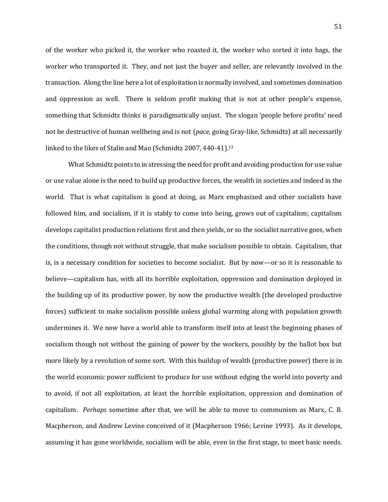of the worker who picked it, the worker who roasted it, the worker who sorted it into bags, the worker who transported it. They, and not just the buyer and seller, are relevantly involved in the transaction. Along the line here a lot of exploitation is normally involved, and sometimes domination and oppression as well. There is seldom profit making that is not at other people's expense, something that Schmidtz thinks is paradigmatically unjust. The slogan 'people before profits' need not be destructive of human wellbeing and is not (*pace,* going Gray-like, Schmidtz) at all necessarily linked to the likes of Stalin and Mao (Schmidtz 2007, 440-41).<sup>13</sup>

What Schmidtz points to in stressing the need for profit and avoiding production for use value or use value alone is the need to build up productive forces, the wealth in societies and indeed in the world. That is what capitalism is good at doing, as Marx emphasized and other socialists have followed him, and socialism, if it is stably to come into being, grows out of capitalism; capitalism develops capitalist production relations first and then yields, or so the socialist narrative goes, when the conditions, though not without struggle, that make socialism possible to obtain. Capitalism, that is, is a necessary condition for societies to become socialist. But by now—or so it is reasonable to believe—capitalism has, with all its horrible exploitation, oppression and domination deployed in the building up of its productive power, by now the productive wealth (the developed productive forces) sufficient to make socialism possible unless global warming along with population growth undermines it. We now have a world able to transform itself into at least the beginning phases of socialism though not without the gaining of power by the workers, possibly by the ballot box but more likely by a revolution of some sort. With this buildup of wealth (productive power) there is in the world economic power sufficient to produce for use without edging the world into poverty and to avoid, if not all exploitation, at least the horrible exploitation, oppression and domination of capitalism. *Perhaps* sometime after that, we will be able to move to communism as Marx, C. B. Macpherson, and Andrew Levine conceived of it (Macpherson 1966; Levine 1993). As it develops, assuming it has gone worldwide, socialism will be able, even in the first stage, to meet basic needs.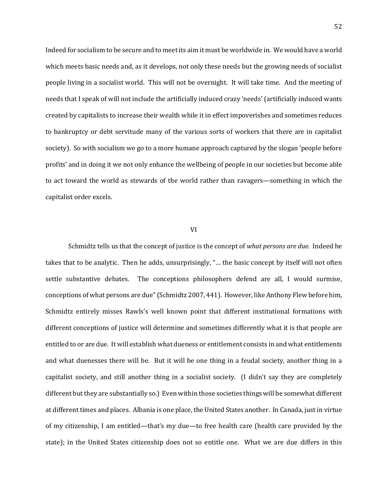Indeed for socialism to be secure and to meet its aim it must be worldwide in. We would have a world which meets basic needs and, as it develops, not only these needs but the growing needs of socialist people living in a socialist world. This will not be overnight. It will take time. And the meeting of needs that I speak of will not include the artificially induced crazy 'needs' (artificially induced wants created by capitalists to increase their wealth while it in effect impoverishes and sometimes reduces to bankruptcy or debt servitude many of the various sorts of workers that there are in capitalist society). So with socialism we go to a more humane approach captured by the slogan 'people before profits' and in doing it we not only enhance the wellbeing of people in our societies but become able to act toward the world as stewards of the world rather than ravagers—something in which the capitalist order excels.

## VI

Schmidtz tells us that the concept of justice is the concept of *what persons are due.* Indeed he takes that to be analytic. Then he adds, unsurprisingly, "… the basic concept by itself will not often settle substantive debates. The conceptions philosophers defend are all, I would surmise, conceptions of what persons are due" (Schmidtz 2007, 441). However, like Anthony Flew before him, Schmidtz entirely misses Rawls's well known point that different institutional formations with different conceptions of justice will determine and sometimes differently what it is that people are entitled to or are due. It will establish what dueness or entitlement consists in and what entitlements and what duenesses there will be. But it will be one thing in a feudal society, another thing in a capitalist society, and still another thing in a socialist society. (I didn't say they are completely different but they are substantially so.) Even within those societies things will be somewhat different at different times and places. Albania is one place, the United States another. In Canada, just in virtue of my citizenship, I am entitled—that's my due—to free health care (health care provided by the state); in the United States citizenship does not so entitle one. What we are due differs in this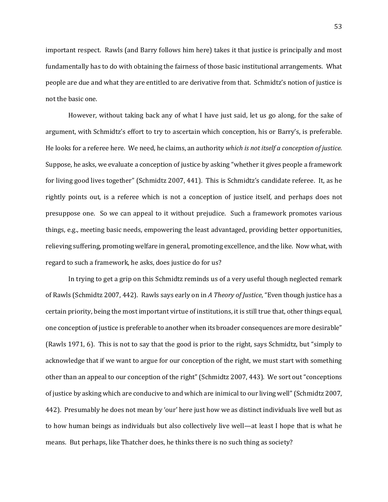important respect. Rawls (and Barry follows him here) takes it that justice is principally and most fundamentally has to do with obtaining the fairness of those basic institutional arrangements. What people are due and what they are entitled to are derivative from that. Schmidtz's notion of justice is not the basic one.

However, without taking back any of what I have just said, let us go along, for the sake of argument, with Schmidtz's effort to try to ascertain which conception, his or Barry's, is preferable. He looks for a referee here. We need, he claims, an authority *which is not itself a conception of justice.* Suppose, he asks, we evaluate a conception of justice by asking "whether it gives people a framework for living good lives together" (Schmidtz 2007, 441). This is Schmidtz's candidate referee. It, as he rightly points out, is a referee which is not a conception of justice itself, and perhaps does not presuppose one. So we can appeal to it without prejudice. Such a framework promotes various things, e.g., meeting basic needs, empowering the least advantaged, providing better opportunities, relieving suffering, promoting welfare in general, promoting excellence, and the like. Now what, with regard to such a framework, he asks, does justice do for us?

In trying to get a grip on this Schmidtz reminds us of a very useful though neglected remark of Rawls (Schmidtz 2007, 442). Rawls says early on in *A Theory of Justice*, "Even though justice has a certain priority, being the most important virtue of institutions, it is still true that, other things equal, one conception of justice is preferable to another when its broader consequences are more desirable" (Rawls 1971, 6). This is not to say that the good is prior to the right, says Schmidtz, but "simply to acknowledge that if we want to argue for our conception of the right, we must start with something other than an appeal to our conception of the right" (Schmidtz 2007, 443). We sort out "conceptions of justice by asking which are conducive to and which are inimical to our living well" (Schmidtz 2007, 442). Presumably he does not mean by 'our' here just how we as distinct individuals live well but as to how human beings as individuals but also collectively live well—at least I hope that is what he means. But perhaps, like Thatcher does, he thinks there is no such thing as society?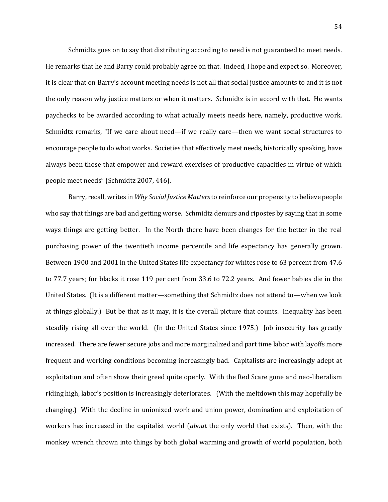Schmidtz goes on to say that distributing according to need is not guaranteed to meet needs. He remarks that he and Barry could probably agree on that. Indeed, I hope and expect so. Moreover, it is clear that on Barry's account meeting needs is not all that social justice amounts to and it is not the only reason why justice matters or when it matters. Schmidtz is in accord with that. He wants paychecks to be awarded according to what actually meets needs here, namely, productive work. Schmidtz remarks, "If we care about need—if we really care—then we want social structures to encourage people to do what works. Societies that effectively meet needs, historically speaking, have always been those that empower and reward exercises of productive capacities in virtue of which people meet needs" (Schmidtz 2007, 446).

Barry, recall, writes in *Why Social Justice Matters*to reinforce our propensity to believe people who say that things are bad and getting worse. Schmidtz demurs and ripostes by saying that in some ways things are getting better. In the North there have been changes for the better in the real purchasing power of the twentieth income percentile and life expectancy has generally grown. Between 1900 and 2001 in the United States life expectancy for whites rose to 63 percent from 47.6 to 77.7 years; for blacks it rose 119 per cent from 33.6 to 72.2 years. And fewer babies die in the United States. (It is a different matter—something that Schmidtz does not attend to—when we look at things globally.) But be that as it may, it is the overall picture that counts. Inequality has been steadily rising all over the world. (In the United States since 1975.) Job insecurity has greatly increased. There are fewer secure jobs and more marginalized and part time labor with layoffs more frequent and working conditions becoming increasingly bad. Capitalists are increasingly adept at exploitation and often show their greed quite openly. With the Red Scare gone and neo-liberalism riding high, labor's position is increasingly deteriorates. (With the meltdown this may hopefully be changing.) With the decline in unionized work and union power, domination and exploitation of workers has increased in the capitalist world (*about* the only world that exists). Then, with the monkey wrench thrown into things by both global warming and growth of world population, both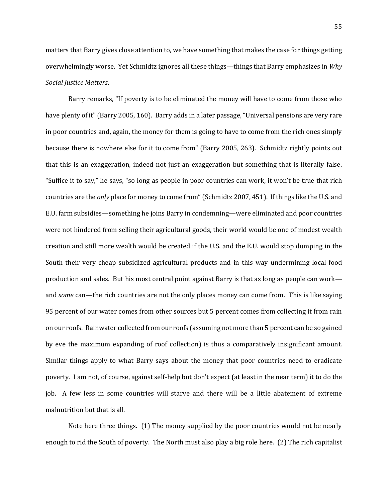matters that Barry gives close attention to, we have something that makes the case for things getting overwhelmingly worse. Yet Schmidtz ignores all these things—things that Barry emphasizes in *Why Social Justice Matters*.

Barry remarks, "If poverty is to be eliminated the money will have to come from those who have plenty of it" (Barry 2005, 160). Barry adds in a later passage, "Universal pensions are very rare in poor countries and, again, the money for them is going to have to come from the rich ones simply because there is nowhere else for it to come from" (Barry 2005, 263). Schmidtz rightly points out that this is an exaggeration, indeed not just an exaggeration but something that is literally false. "Suffice it to say," he says, "so long as people in poor countries can work, it won't be true that rich countries are the *only* place for money to come from" (Schmidtz 2007, 451). If things like the U.S. and E.U. farm subsidies—something he joins Barry in condemning—were eliminated and poor countries were not hindered from selling their agricultural goods, their world would be one of modest wealth creation and still more wealth would be created if the U.S. and the E.U. would stop dumping in the South their very cheap subsidized agricultural products and in this way undermining local food production and sales. But his most central point against Barry is that as long as people can work and *some* can—the rich countries are not the only places money can come from. This is like saying 95 percent of our water comes from other sources but 5 percent comes from collecting it from rain on our roofs. Rainwater collected from our roofs (assuming not more than 5 percent can be so gained by eve the maximum expanding of roof collection) is thus a comparatively insignificant amount. Similar things apply to what Barry says about the money that poor countries need to eradicate poverty. I am not, of course, against self-help but don't expect (at least in the near term) it to do the job. A few less in some countries will starve and there will be a little abatement of extreme malnutrition but that is all.

Note here three things. (1) The money supplied by the poor countries would not be nearly enough to rid the South of poverty. The North must also play a big role here. (2) The rich capitalist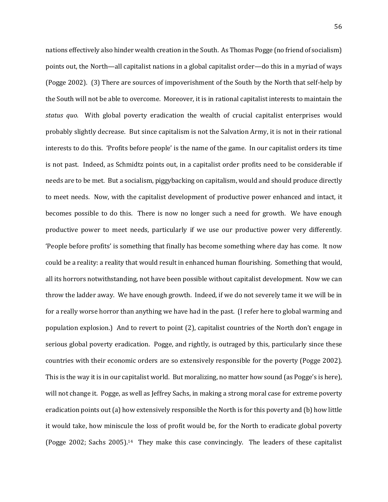nations effectively also hinder wealth creation in the South. As Thomas Pogge (no friend of socialism) points out, the North—all capitalist nations in a global capitalist order—do this in a myriad of ways (Pogge 2002). (3) There are sources of impoverishment of the South by the North that self-help by the South will not be able to overcome. Moreover, it is in rational capitalist interests to maintain the *status quo*. With global poverty eradication the wealth of crucial capitalist enterprises would probably slightly decrease. But since capitalism is not the Salvation Army, it is not in their rational interests to do this. 'Profits before people' is the name of the game. In our capitalist orders its time is not past. Indeed, as Schmidtz points out, in a capitalist order profits need to be considerable if needs are to be met. But a socialism, piggybacking on capitalism, would and should produce directly to meet needs. Now, with the capitalist development of productive power enhanced and intact, it becomes possible to do this. There is now no longer such a need for growth. We have enough productive power to meet needs, particularly if we use our productive power very differently. 'People before profits' is something that finally has become something where day has come. It now could be a reality: a reality that would result in enhanced human flourishing. Something that would, all its horrors notwithstanding, not have been possible without capitalist development. Now we can throw the ladder away. We have enough growth. Indeed, if we do not severely tame it we will be in for a really worse horror than anything we have had in the past. (I refer here to global warming and population explosion.) And to revert to point (2), capitalist countries of the North don't engage in serious global poverty eradication. Pogge, and rightly, is outraged by this, particularly since these countries with their economic orders are so extensively responsible for the poverty (Pogge 2002). This is the way it is in our capitalist world. But moralizing, no matter how sound (as Pogge's is here), will not change it. Pogge, as well as Jeffrey Sachs, in making a strong moral case for extreme poverty eradication points out (a) how extensively responsible the North is for this poverty and (b) how little it would take, how miniscule the loss of profit would be, for the North to eradicate global poverty (Pogge 2002; Sachs 2005). 14 They make this case convincingly. The leaders of these capitalist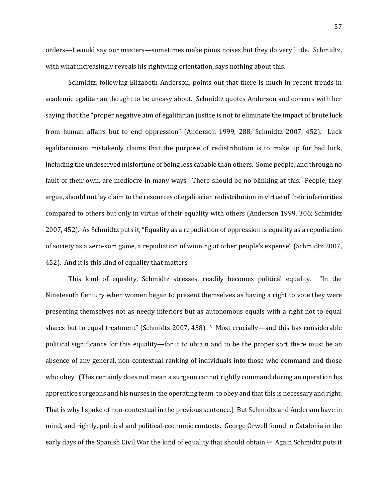orders—I would say our masters—sometimes make pious noises but they do very little. Schmidtz, with what increasingly reveals his rightwing orientation, says nothing about this.

Schmidtz, following Elizabeth Anderson, points out that there is much in recent trends in academic egalitarian thought to be uneasy about. Schmidtz quotes Anderson and concurs with her saying that the "proper negative aim of egalitarian justice is not to eliminate the impact of brute luck from human affairs but to end oppression" (Anderson 1999, 288; Schmidtz 2007, 452). Luck egalitarianism mistakenly claims that the purpose of redistribution is to make up for bad luck, including the undeserved misfortune of being less capable than others. Some people, and through no fault of their own, are mediocre in many ways. There should be no blinking at this. People, they argue, should not lay claim to the resources of egalitarian redistribution in virtue of their inferiorities compared to others but only in virtue of their equality with others (Anderson 1999, 306; Schmidtz 2007, 452). As Schmidtz puts it, "Equality as a repudiation of oppression is equality as a repudiation of society as a zero-sum game, a repudiation of winning at other people's expense" (Schmidtz 2007, 452). And it is this kind of equality that matters.

This kind of equality, Schmidtz stresses, readily becomes political equality. "In the Nineteenth Century when women began to present themselves as having a right to vote they were presenting themselves not as needy inferiors but as autonomous equals with a right not to equal shares but to equal treatment" (Schmidtz 2007, 458).15 Most crucially—and this has considerable political significance for this equality—for it to obtain and to be the proper sort there must be an absence of any general, non-contextual ranking of individuals into those who command and those who obey. (This certainly does not mean a surgeon cannot rightly command during an operation his apprentice surgeons and his nurses in the operating team. to obey and that this is necessary and right. That is why I spoke of non-contextual in the previous sentence.) But Schmidtz and Anderson have in mind, and rightly, political and political-economic contexts. George Orwell found in Catalonia in the early days of the Spanish Civil War the kind of equality that should obtain.16 Again Schmidtz puts it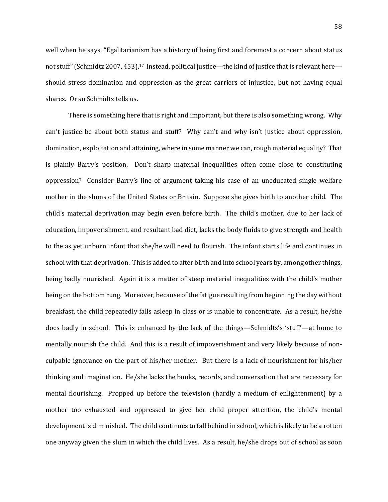well when he says, "Egalitarianism has a history of being first and foremost a concern about status not stuff" (Schmidtz 2007, 453).<sup>17</sup> Instead, political justice—the kind of justice that is relevant here should stress domination and oppression as the great carriers of injustice, but not having equal shares. Or so Schmidtz tells us.

There is something here that is right and important, but there is also something wrong. Why can't justice be about both status and stuff? Why can't and why isn't justice about oppression, domination, exploitation and attaining, where in some manner we can, rough material equality? That is plainly Barry's position. Don't sharp material inequalities often come close to constituting oppression? Consider Barry's line of argument taking his case of an uneducated single welfare mother in the slums of the United States or Britain. Suppose she gives birth to another child. The child's material deprivation may begin even before birth. The child's mother, due to her lack of education, impoverishment, and resultant bad diet, lacks the body fluids to give strength and health to the as yet unborn infant that she/he will need to flourish. The infant starts life and continues in school with that deprivation. This is added to after birth and into school years by, among other things, being badly nourished. Again it is a matter of steep material inequalities with the child's mother being on the bottom rung. Moreover, because of the fatigue resulting from beginning the day without breakfast, the child repeatedly falls asleep in class or is unable to concentrate. As a result, he/she does badly in school. This is enhanced by the lack of the things—Schmidtz's 'stuff'—at home to mentally nourish the child. And this is a result of impoverishment and very likely because of nonculpable ignorance on the part of his/her mother. But there is a lack of nourishment for his/her thinking and imagination. He/she lacks the books, records, and conversation that are necessary for mental flourishing. Propped up before the television (hardly a medium of enlightenment) by a mother too exhausted and oppressed to give her child proper attention, the child's mental development is diminished. The child continues to fall behind in school, which is likely to be a rotten one anyway given the slum in which the child lives. As a result, he/she drops out of school as soon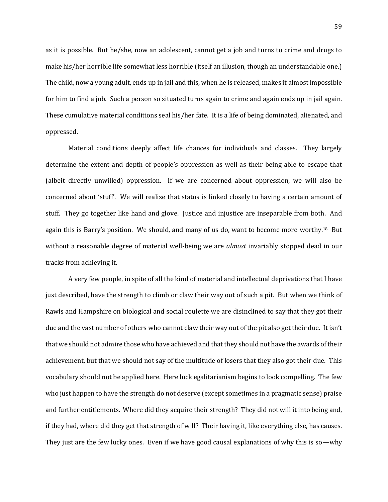as it is possible. But he/she, now an adolescent, cannot get a job and turns to crime and drugs to make his/her horrible life somewhat less horrible (itself an illusion, though an understandable one.) The child, now a young adult, ends up in jail and this, when he is released, makes it almost impossible for him to find a job. Such a person so situated turns again to crime and again ends up in jail again. These cumulative material conditions seal his/her fate. It is a life of being dominated, alienated, and oppressed.

Material conditions deeply affect life chances for individuals and classes. They largely determine the extent and depth of people's oppression as well as their being able to escape that (albeit directly unwilled) oppression. If we are concerned about oppression, we will also be concerned about 'stuff'. We will realize that status is linked closely to having a certain amount of stuff. They go together like hand and glove. Justice and injustice are inseparable from both. And again this is Barry's position. We should, and many of us do, want to become more worthy.<sup>18</sup> But without a reasonable degree of material well-being we are *almost* invariably stopped dead in our tracks from achieving it.

A very few people, in spite of all the kind of material and intellectual deprivations that I have just described, have the strength to climb or claw their way out of such a pit. But when we think of Rawls and Hampshire on biological and social roulette we are disinclined to say that they got their due and the vast number of others who cannot claw their way out of the pit also get their due. It isn't that we should not admire those who have achieved and that they should not have the awards of their achievement, but that we should not say of the multitude of losers that they also got their due. This vocabulary should not be applied here. Here luck egalitarianism begins to look compelling. The few who just happen to have the strength do not deserve (except sometimes in a pragmatic sense) praise and further entitlements. Where did they acquire their strength? They did not will it into being and, if they had, where did they get that strength of will? Their having it, like everything else, has causes. They just are the few lucky ones. Even if we have good causal explanations of why this is so—why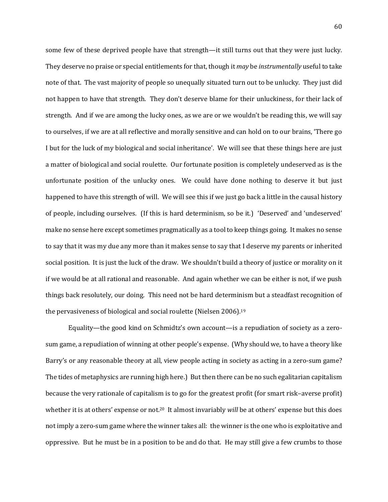some few of these deprived people have that strength—it still turns out that they were just lucky. They deserve no praise or special entitlements for that, though it *may* be *instrumentally* useful to take note of that. The vast majority of people so unequally situated turn out to be unlucky. They just did not happen to have that strength. They don't deserve blame for their unluckiness, for their lack of strength. And if we are among the lucky ones, as we are or we wouldn't be reading this, we will say to ourselves, if we are at all reflective and morally sensitive and can hold on to our brains, 'There go I but for the luck of my biological and social inheritance'. We will see that these things here are just a matter of biological and social roulette. Our fortunate position is completely undeserved as is the unfortunate position of the unlucky ones. We could have done nothing to deserve it but just happened to have this strength of will. We will see this if we just go back a little in the causal history of people, including ourselves. (If this is hard determinism, so be it.) 'Deserved' and 'undeserved' make no sense here except sometimes pragmatically as a tool to keep things going. It makes no sense to say that it was my due any more than it makes sense to say that I deserve my parents or inherited social position. It is just the luck of the draw. We shouldn't build a theory of justice or morality on it if we would be at all rational and reasonable. And again whether we can be either is not, if we push things back resolutely, our doing. This need not be hard determinism but a steadfast recognition of the pervasiveness of biological and social roulette (Nielsen 2006).<sup>19</sup>

Equality—the good kind on Schmidtz's own account—is a repudiation of society as a zerosum game, a repudiation of winning at other people's expense. (Why should we, to have a theory like Barry's or any reasonable theory at all, view people acting in society as acting in a zero-sum game? The tides of metaphysics are running high here.) But then there can be no such egalitarian capitalism because the very rationale of capitalism is to go for the greatest profit (for smart risk–averse profit) whether it is at others' expense or not.<sup>20</sup> It almost invariably *will* be at others' expense but this does not imply a zero-sum game where the winner takes all: the winner is the one who is exploitative and oppressive. But he must be in a position to be and do that. He may still give a few crumbs to those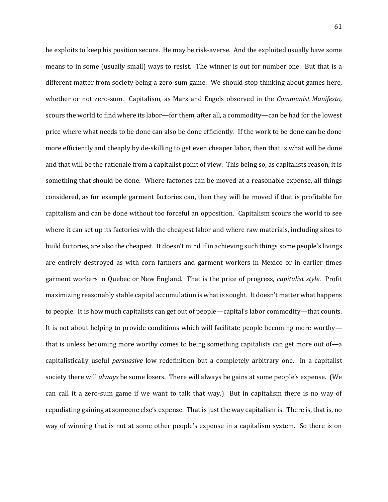he exploits to keep his position secure. He may be risk-averse. And the exploited usually have some means to in some (usually small) ways to resist. The winner is out for number one. But that is a different matter from society being a zero-sum game. We should stop thinking about games here, whether or not zero-sum. Capitalism, as Marx and Engels observed in the *Communist Manifesto,*  scours the world to find where its labor—for them, after all, a commodity—can be had for the lowest price where what needs to be done can also be done efficiently. If the work to be done can be done more efficiently and cheaply by de-skilling to get even cheaper labor, then that is what will be done and that will be the rationale from a capitalist point of view. This being so, as capitalists reason, it is something that should be done. Where factories can be moved at a reasonable expense, all things considered, as for example garment factories can, then they will be moved if that is profitable for capitalism and can be done without too forceful an opposition. Capitalism scours the world to see where it can set up its factories with the cheapest labor and where raw materials, including sites to build factories, are also the cheapest. It doesn't mind if in achieving such things some people's livings are entirely destroyed as with corn farmers and garment workers in Mexico or in earlier times garment workers in Quebec or New England. That is the price of progress, *capitalist style*. Profit maximizing reasonably stable capital accumulation is what is sought. It doesn't matter what happens to people. It is how much capitalists can get out of people—capital's labor commodity—that counts. It is not about helping to provide conditions which will facilitate people becoming more worthy that is unless becoming more worthy comes to being something capitalists can get more out of—a capitalistically useful *persuasive* low redefinition but a completely arbitrary one. In a capitalist society there will *always* be some losers. There will always be gains at some people's expense. (We can call it a zero-sum game if we want to talk that way.) But in capitalism there is no way of repudiating gaining at someone else's expense. That is just the way capitalism is. There is, that is, no way of winning that is not at some other people's expense in a capitalism system. So there is on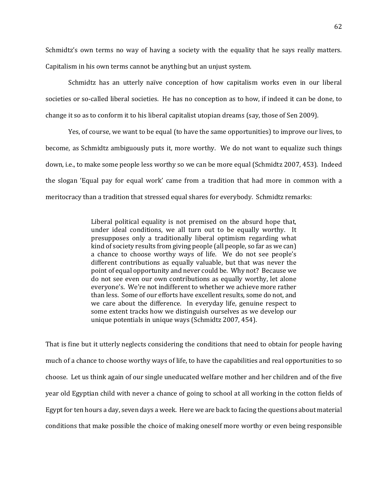Schmidtz's own terms no way of having a society with the equality that he says really matters. Capitalism in his own terms cannot be anything but an unjust system.

Schmidtz has an utterly naïve conception of how capitalism works even in our liberal societies or so-called liberal societies. He has no conception as to how, if indeed it can be done, to change it so as to conform it to his liberal capitalist utopian dreams (say, those of Sen 2009).

Yes, of course, we want to be equal (to have the same opportunities) to improve our lives, to become, as Schmidtz ambiguously puts it, more worthy. We do not want to equalize such things down, i.e., to make some people less worthy so we can be more equal (Schmidtz 2007, 453). Indeed the slogan 'Equal pay for equal work' came from a tradition that had more in common with a meritocracy than a tradition that stressed equal shares for everybody. Schmidtz remarks:

> Liberal political equality is not premised on the absurd hope that, under ideal conditions, we all turn out to be equally worthy. It presupposes only a traditionally liberal optimism regarding what kind of society results from giving people (all people, so far as we can) a chance to choose worthy ways of life. We do not see people's different contributions as equally valuable, but that was never the point of equal opportunity and never could be. Why not? Because we do not see even our own contributions as equally worthy, let alone everyone's. We're not indifferent to whether we achieve more rather than less. Some of our efforts have excellent results, some do not, and we care about the difference. In everyday life, genuine respect to some extent tracks how we distinguish ourselves as we develop our unique potentials in unique ways (Schmidtz 2007, 454).

That is fine but it utterly neglects considering the conditions that need to obtain for people having much of a chance to choose worthy ways of life, to have the capabilities and real opportunities to so choose. Let us think again of our single uneducated welfare mother and her children and of the five year old Egyptian child with never a chance of going to school at all working in the cotton fields of Egypt for ten hours a day, seven days a week. Here we are back to facing the questions about material conditions that make possible the choice of making oneself more worthy or even being responsible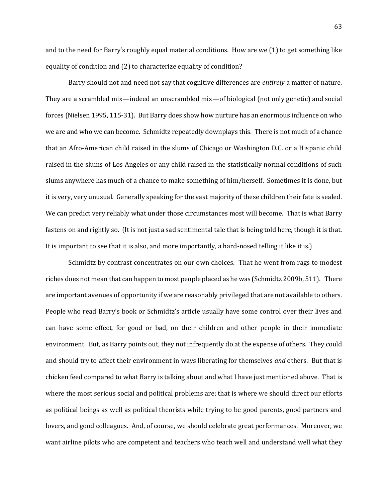and to the need for Barry's roughly equal material conditions. How are we (1) to get something like equality of condition and (2) to characterize equality of condition?

Barry should not and need not say that cognitive differences are *entirely* a matter of nature. They are a scrambled mix—indeed an unscrambled mix—of biological (not only genetic) and social forces (Nielsen 1995, 115-31). But Barry does show how nurture has an enormous influence on who we are and who we can become. Schmidtz repeatedly downplays this. There is not much of a chance that an Afro-American child raised in the slums of Chicago or Washington D.C. or a Hispanic child raised in the slums of Los Angeles or any child raised in the statistically normal conditions of such slums anywhere has much of a chance to make something of him/herself. Sometimes it is done, but it is very, very unusual. Generally speaking for the vast majority of these children their fate is sealed. We can predict very reliably what under those circumstances most will become. That is what Barry fastens on and rightly so. (It is not just a sad sentimental tale that is being told here, though it is that. It is important to see that it is also, and more importantly, a hard-nosed telling it like it is.)

Schmidtz by contrast concentrates on our own choices. That he went from rags to modest riches does not mean that can happen to most people placed as he was (Schmidtz 2009b, 511). There are important avenues of opportunity if we are reasonably privileged that are not available to others. People who read Barry's book or Schmidtz's article usually have some control over their lives and can have some effect, for good or bad, on their children and other people in their immediate environment. But, as Barry points out, they not infrequently do at the expense of others. They could and should try to affect their environment in ways liberating for themselves *and* others. But that is chicken feed compared to what Barry is talking about and what I have just mentioned above. That is where the most serious social and political problems are; that is where we should direct our efforts as political beings as well as political theorists while trying to be good parents, good partners and lovers, and good colleagues. And, of course, we should celebrate great performances. Moreover, we want airline pilots who are competent and teachers who teach well and understand well what they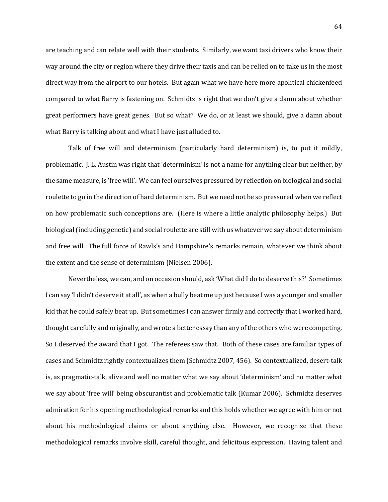are teaching and can relate well with their students. Similarly, we want taxi drivers who know their way around the city or region where they drive their taxis and can be relied on to take us in the most direct way from the airport to our hotels. But again what we have here more apolitical chickenfeed compared to what Barry is fastening on. Schmidtz is right that we don't give a damn about whether great performers have great genes. But so what? We do, or at least we should, give a damn about what Barry is talking about and what I have just alluded to.

Talk of free will and determinism (particularly hard determinism) is, to put it mildly, problematic. J. L. Austin was right that 'determinism' is not a name for anything clear but neither, by the same measure, is 'free will'. We can feel ourselves pressured by reflection on biological and social roulette to go in the direction of hard determinism. But we need not be so pressured when we reflect on how problematic such conceptions are. (Here is where a little analytic philosophy helps.) But biological (including genetic) and social roulette are still with us whatever we say about determinism and free will. The full force of Rawls's and Hampshire's remarks remain, whatever we think about the extent and the sense of determinism (Nielsen 2006).

Nevertheless, we can, and on occasion should, ask 'What did I do to deserve this?' Sometimes I can say 'I didn't deserve it at all', as when a bully beat me up just because I was a younger and smaller kid that he could safely beat up. But sometimes I can answer firmly and correctly that I worked hard, thought carefully and originally, and wrote a better essay than any of the others who were competing. So I deserved the award that I got. The referees saw that. Both of these cases are familiar types of cases and Schmidtz rightly contextualizes them (Schmidtz 2007, 456). So contextualized, desert-talk is, as pragmatic-talk, alive and well no matter what we say about 'determinism' and no matter what we say about 'free will' being obscurantist and problematic talk (Kumar 2006). Schmidtz deserves admiration for his opening methodological remarks and this holds whether we agree with him or not about his methodological claims or about anything else. However, we recognize that these methodological remarks involve skill, careful thought, and felicitous expression. Having talent and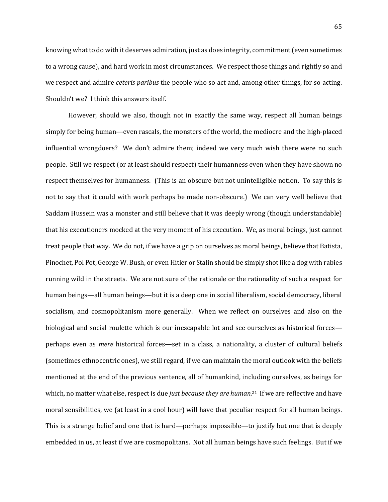knowing what to do with it deserves admiration, just as does integrity, commitment (even sometimes to a wrong cause), and hard work in most circumstances. We respect those things and rightly so and we respect and admire *ceteris paribus* the people who so act and, among other things, for so acting. Shouldn't we? I think this answers itself.

However, should we also, though not in exactly the same way, respect all human beings simply for being human—even rascals, the monsters of the world, the mediocre and the high-placed influential wrongdoers? We don't admire them; indeed we very much wish there were no such people. Still we respect (or at least should respect) their humanness even when they have shown no respect themselves for humanness. (This is an obscure but not unintelligible notion. To say this is not to say that it could with work perhaps be made non-obscure.) We can very well believe that Saddam Hussein was a monster and still believe that it was deeply wrong (though understandable) that his executioners mocked at the very moment of his execution. We, as moral beings, just cannot treat people that way. We do not, if we have a grip on ourselves as moral beings, believe that Batista, Pinochet, Pol Pot, George W. Bush, or even Hitler or Stalin should be simply shot like a dog with rabies running wild in the streets. We are not sure of the rationale or the rationality of such a respect for human beings—all human beings—but it is a deep one in social liberalism, social democracy, liberal socialism, and cosmopolitanism more generally. When we reflect on ourselves and also on the biological and social roulette which is our inescapable lot and see ourselves as historical forces perhaps even as *mere* historical forces—set in a class, a nationality, a cluster of cultural beliefs (sometimes ethnocentric ones), we still regard, if we can maintain the moral outlook with the beliefs mentioned at the end of the previous sentence, all of humankind, including ourselves, as beings for which, no matter what else, respect is due *just because they are human*. <sup>21</sup> If we are reflective and have moral sensibilities, we (at least in a cool hour) will have that peculiar respect for all human beings. This is a strange belief and one that is hard—perhaps impossible—to justify but one that is deeply embedded in us, at least if we are cosmopolitans. Not all human beings have such feelings. But if we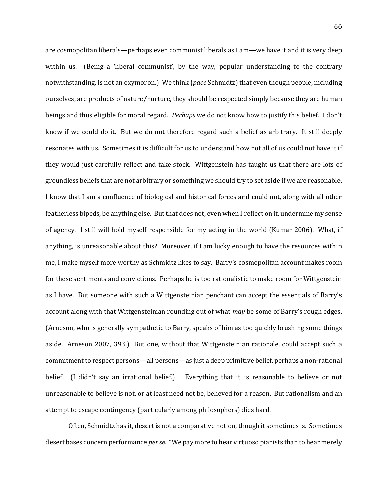are cosmopolitan liberals—perhaps even communist liberals as I am—we have it and it is very deep within us. (Being a 'liberal communist', by the way, popular understanding to the contrary notwithstanding, is not an oxymoron.) We think (*pace* Schmidtz) that even though people, including ourselves, are products of nature/nurture, they should be respected simply because they are human beings and thus eligible for moral regard. *Perhaps* we do not know how to justify this belief. I don't know if we could do it. But we do not therefore regard such a belief as arbitrary. It still deeply resonates with us. Sometimes it is difficult for us to understand how not all of us could not have it if they would just carefully reflect and take stock. Wittgenstein has taught us that there are lots of groundless beliefs that are not arbitrary or something we should try to set aside if we are reasonable. I know that I am a confluence of biological and historical forces and could not, along with all other featherless bipeds, be anything else. But that does not, even when I reflect on it, undermine my sense of agency. I still will hold myself responsible for my acting in the world (Kumar 2006). What, if anything, is unreasonable about this? Moreover, if I am lucky enough to have the resources within me, I make myself more worthy as Schmidtz likes to say. Barry's cosmopolitan account makes room for these sentiments and convictions. Perhaps he is too rationalistic to make room for Wittgenstein as I have. But someone with such a Wittgensteinian penchant can accept the essentials of Barry's account along with that Wittgensteinian rounding out of what *may* be some of Barry's rough edges. (Arneson, who is generally sympathetic to Barry, speaks of him as too quickly brushing some things aside. Arneson 2007, 393.) But one, without that Wittgensteinian rationale, could accept such a commitment to respect persons—all persons—as just a deep primitive belief, perhaps a non-rational belief. (I didn't say an irrational belief.) Everything that it is reasonable to believe or not unreasonable to believe is not, or at least need not be, believed for a reason. But rationalism and an attempt to escape contingency (particularly among philosophers) dies hard.

Often, Schmidtz has it, desert is not a comparative notion, though it sometimes is. Sometimes desert bases concern performance *per se*. "We pay more to hear virtuoso pianists than to hear merely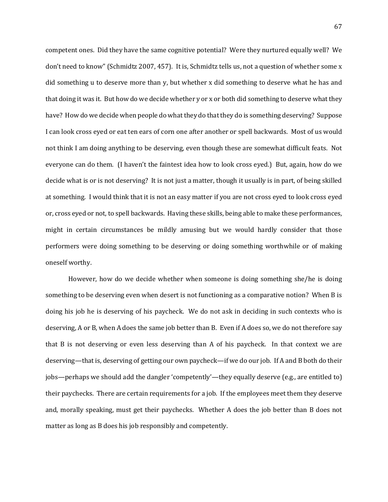competent ones. Did they have the same cognitive potential? Were they nurtured equally well? We don't need to know" (Schmidtz 2007, 457). It is, Schmidtz tells us, not a question of whether some x did something u to deserve more than y, but whether x did something to deserve what he has and that doing it was it. But how do we decide whether y or x or both did something to deserve what they have? How do we decide when people do what they do that they do is something deserving? Suppose I can look cross eyed or eat ten ears of corn one after another or spell backwards. Most of us would not think I am doing anything to be deserving, even though these are somewhat difficult feats. Not everyone can do them. (I haven't the faintest idea how to look cross eyed.) But, again, how do we decide what is or is not deserving? It is not just a matter, though it usually is in part, of being skilled at something. I would think that it is not an easy matter if you are not cross eyed to look cross eyed or, cross eyed or not, to spell backwards. Having these skills, being able to make these performances, might in certain circumstances be mildly amusing but we would hardly consider that those performers were doing something to be deserving or doing something worthwhile or of making oneself worthy.

However, how do we decide whether when someone is doing something she/he is doing something to be deserving even when desert is not functioning as a comparative notion? When B is doing his job he is deserving of his paycheck. We do not ask in deciding in such contexts who is deserving, A or B, when A does the same job better than B. Even if A does so, we do not therefore say that B is not deserving or even less deserving than A of his paycheck. In that context we are deserving—that is, deserving of getting our own paycheck—if we do our job. If A and B both do their jobs—perhaps we should add the dangler 'competently'—they equally deserve (e.g., are entitled to) their paychecks. There are certain requirements for a job. If the employees meet them they deserve and, morally speaking, must get their paychecks. Whether A does the job better than B does not matter as long as B does his job responsibly and competently.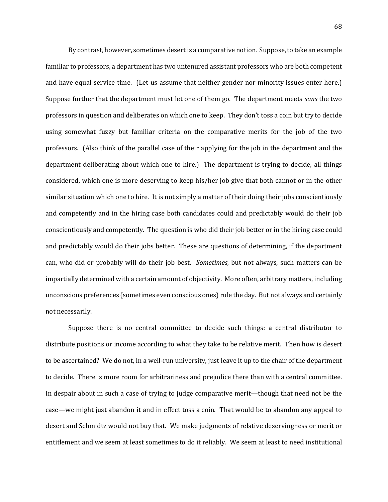By contrast, however, sometimes desert is a comparative notion. Suppose, to take an example familiar to professors, a department has two untenured assistant professors who are both competent and have equal service time. (Let us assume that neither gender nor minority issues enter here.) Suppose further that the department must let one of them go. The department meets *sans* the two professors in question and deliberates on which one to keep. They don't toss a coin but try to decide using somewhat fuzzy but familiar criteria on the comparative merits for the job of the two professors. (Also think of the parallel case of their applying for the job in the department and the department deliberating about which one to hire.) The department is trying to decide, all things considered, which one is more deserving to keep his/her job give that both cannot or in the other similar situation which one to hire. It is not simply a matter of their doing their jobs conscientiously and competently and in the hiring case both candidates could and predictably would do their job conscientiously and competently. The question is who did their job better or in the hiring case could and predictably would do their jobs better. These are questions of determining, if the department can, who did or probably will do their job best. *Sometimes,* but not always, such matters can be impartially determined with a certain amount of objectivity. More often, arbitrary matters, including unconscious preferences (sometimes even conscious ones) rule the day. But not always and certainly not necessarily.

Suppose there is no central committee to decide such things: a central distributor to distribute positions or income according to what they take to be relative merit. Then how is desert to be ascertained? We do not, in a well-run university, just leave it up to the chair of the department to decide. There is more room for arbitrariness and prejudice there than with a central committee. In despair about in such a case of trying to judge comparative merit—though that need not be the case—we might just abandon it and in effect toss a coin. That would be to abandon any appeal to desert and Schmidtz would not buy that. We make judgments of relative deservingness or merit or entitlement and we seem at least sometimes to do it reliably. We seem at least to need institutional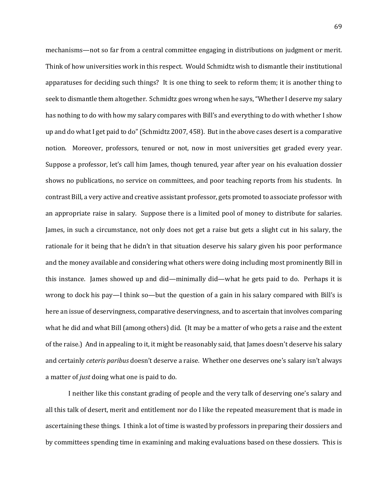mechanisms—not so far from a central committee engaging in distributions on judgment or merit. Think of how universities work in this respect. Would Schmidtz wish to dismantle their institutional apparatuses for deciding such things? It is one thing to seek to reform them; it is another thing to seek to dismantle them altogether. Schmidtz goes wrong when he says, "Whether I deserve my salary has nothing to do with how my salary compares with Bill's and everything to do with whether I show up and do what I get paid to do" (Schmidtz 2007, 458). But in the above cases desert is a comparative notion. Moreover, professors, tenured or not, now in most universities get graded every year. Suppose a professor, let's call him James, though tenured, year after year on his evaluation dossier shows no publications, no service on committees, and poor teaching reports from his students. In contrast Bill, a very active and creative assistant professor, gets promoted to associate professor with an appropriate raise in salary. Suppose there is a limited pool of money to distribute for salaries. James, in such a circumstance, not only does not get a raise but gets a slight cut in his salary, the rationale for it being that he didn't in that situation deserve his salary given his poor performance and the money available and considering what others were doing including most prominently Bill in this instance. James showed up and did—minimally did—what he gets paid to do. Perhaps it is wrong to dock his pay—I think so—but the question of a gain in his salary compared with Bill's is here an issue of deservingness, comparative deservingness, and to ascertain that involves comparing what he did and what Bill (among others) did. (It may be a matter of who gets a raise and the extent of the raise.) And in appealing to it, it might be reasonably said, that James doesn't deserve his salary and certainly *ceteris paribus* doesn't deserve a raise. Whether one deserves one's salary isn't always a matter of *just* doing what one is paid to do.

I neither like this constant grading of people and the very talk of deserving one's salary and all this talk of desert, merit and entitlement nor do I like the repeated measurement that is made in ascertaining these things. I think a lot of time is wasted by professors in preparing their dossiers and by committees spending time in examining and making evaluations based on these dossiers. This is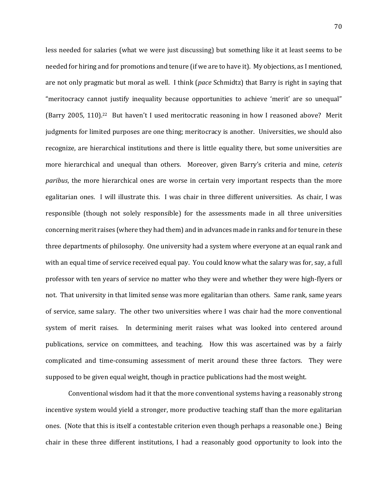less needed for salaries (what we were just discussing) but something like it at least seems to be needed for hiring and for promotions and tenure (if we are to have it). My objections, as I mentioned, are not only pragmatic but moral as well. I think (*pace* Schmidtz) that Barry is right in saying that "meritocracy cannot justify inequality because opportunities to achieve 'merit' are so unequal" (Barry 2005, 110).22 But haven't I used meritocratic reasoning in how I reasoned above? Merit judgments for limited purposes are one thing; meritocracy is another. Universities, we should also recognize, are hierarchical institutions and there is little equality there, but some universities are more hierarchical and unequal than others. Moreover, given Barry's criteria and mine, *ceteris paribus*, the more hierarchical ones are worse in certain very important respects than the more egalitarian ones. I will illustrate this. I was chair in three different universities. As chair, I was responsible (though not solely responsible) for the assessments made in all three universities concerning merit raises (where they had them) and in advances made in ranks and for tenure in these three departments of philosophy. One university had a system where everyone at an equal rank and with an equal time of service received equal pay. You could know what the salary was for, say, a full professor with ten years of service no matter who they were and whether they were high-flyers or not. That university in that limited sense was more egalitarian than others. Same rank, same years of service, same salary. The other two universities where I was chair had the more conventional system of merit raises. In determining merit raises what was looked into centered around publications, service on committees, and teaching. How this was ascertained was by a fairly complicated and time-consuming assessment of merit around these three factors. They were supposed to be given equal weight, though in practice publications had the most weight.

Conventional wisdom had it that the more conventional systems having a reasonably strong incentive system would yield a stronger, more productive teaching staff than the more egalitarian ones. (Note that this is itself a contestable criterion even though perhaps a reasonable one.) Being chair in these three different institutions, I had a reasonably good opportunity to look into the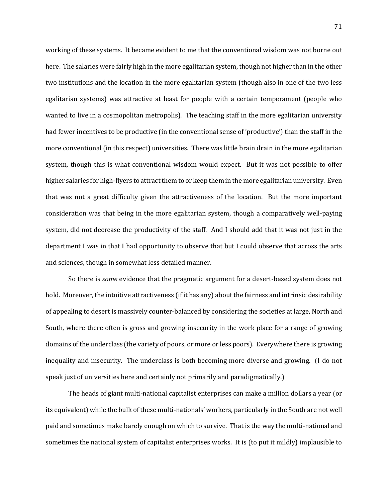working of these systems. It became evident to me that the conventional wisdom was not borne out here. The salaries were fairly high in the more egalitarian system, though not higher than in the other two institutions and the location in the more egalitarian system (though also in one of the two less egalitarian systems) was attractive at least for people with a certain temperament (people who wanted to live in a cosmopolitan metropolis). The teaching staff in the more egalitarian university had fewer incentives to be productive (in the conventional sense of 'productive') than the staff in the more conventional (in this respect) universities. There was little brain drain in the more egalitarian system, though this is what conventional wisdom would expect. But it was not possible to offer higher salaries for high-flyers to attract them to or keep them in the more egalitarian university. Even that was not a great difficulty given the attractiveness of the location. But the more important consideration was that being in the more egalitarian system, though a comparatively well-paying system, did not decrease the productivity of the staff. And I should add that it was not just in the department I was in that I had opportunity to observe that but I could observe that across the arts and sciences, though in somewhat less detailed manner.

So there is *some* evidence that the pragmatic argument for a desert-based system does not hold. Moreover, the intuitive attractiveness (if it has any) about the fairness and intrinsic desirability of appealing to desert is massively counter-balanced by considering the societies at large, North and South, where there often is gross and growing insecurity in the work place for a range of growing domains of the underclass (the variety of poors, or more or less poors). Everywhere there is growing inequality and insecurity. The underclass is both becoming more diverse and growing. (I do not speak just of universities here and certainly not primarily and paradigmatically.)

The heads of giant multi-national capitalist enterprises can make a million dollars a year (or its equivalent) while the bulk of these multi-nationals' workers, particularly in the South are not well paid and sometimes make barely enough on which to survive. That is the way the multi-national and sometimes the national system of capitalist enterprises works. It is (to put it mildly) implausible to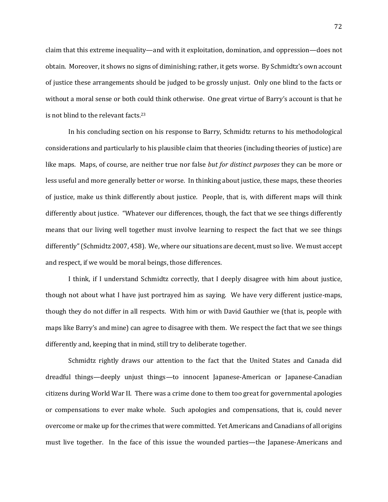claim that this extreme inequality—and with it exploitation, domination, and oppression—does not obtain. Moreover, it shows no signs of diminishing; rather, it gets worse. By Schmidtz's own account of justice these arrangements should be judged to be grossly unjust. Only one blind to the facts or without a moral sense or both could think otherwise. One great virtue of Barry's account is that he is not blind to the relevant facts.<sup>23</sup>

In his concluding section on his response to Barry, Schmidtz returns to his methodological considerations and particularly to his plausible claim that theories (including theories of justice) are like maps. Maps, of course, are neither true nor false *but for distinct purposes* they can be more or less useful and more generally better or worse. In thinking about justice, these maps, these theories of justice, make us think differently about justice. People, that is, with different maps will think differently about justice. "Whatever our differences, though, the fact that we see things differently means that our living well together must involve learning to respect the fact that we see things differently" (Schmidtz 2007, 458). We, where our situations are decent, must so live. We must accept and respect, if we would be moral beings, those differences.

I think, if I understand Schmidtz correctly, that I deeply disagree with him about justice, though not about what I have just portrayed him as saying. We have very different justice-maps, though they do not differ in all respects. With him or with David Gauthier we (that is, people with maps like Barry's and mine) can agree to disagree with them. We respect the fact that we see things differently and, keeping that in mind, still try to deliberate together.

Schmidtz rightly draws our attention to the fact that the United States and Canada did dreadful things—deeply unjust things—to innocent Japanese-American or Japanese-Canadian citizens during World War II. There was a crime done to them too great for governmental apologies or compensations to ever make whole. Such apologies and compensations, that is, could never overcome or make up for the crimes that were committed. Yet Americans and Canadians of all origins must live together. In the face of this issue the wounded parties—the Japanese-Americans and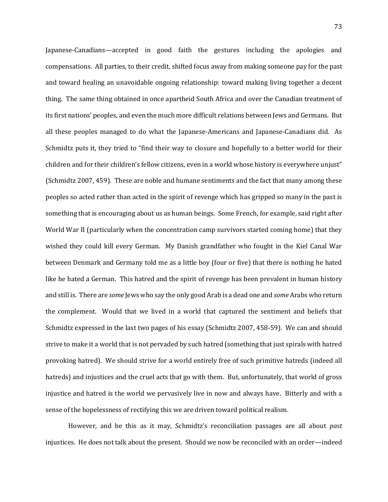Japanese-Canadians—accepted in good faith the gestures including the apologies and compensations. All parties, to their credit, shifted focus away from making someone pay for the past and toward healing an unavoidable ongoing relationship: toward making living together a decent thing. The same thing obtained in once apartheid South Africa and over the Canadian treatment of its first nations' peoples, and even the much more difficult relations between Jews and Germans. But all these peoples managed to do what the Japanese-Americans and Japanese-Canadians did. As Schmidtz puts it, they tried to "find their way to closure and hopefully to a better world for their children and for their children's fellow citizens, even in a world whose history is everywhere unjust" (Schmidtz 2007, 459). These are noble and humane sentiments and the fact that many among these peoples so acted rather than acted in the spirit of revenge which has gripped so many in the past is something that is encouraging about us as human beings. Some French, for example, said right after World War II (particularly when the concentration camp survivors started coming home) that they wished they could kill every German. My Danish grandfather who fought in the Kiel Canal War between Denmark and Germany told me as a little boy (four or five) that there is nothing he hated like he hated a German. This hatred and the spirit of revenge has been prevalent in human history and still is. There are *some* Jews who say the only good Arab is a dead one and *some* Arabs who return the complement. Would that we lived in a world that captured the sentiment and beliefs that Schmidtz expressed in the last two pages of his essay (Schmidtz 2007, 458-59). We can and should strive to make it a world that is not pervaded by such hatred (something that just spirals with hatred provoking hatred). We should strive for a world entirely free of such primitive hatreds (indeed all hatreds) and injustices and the cruel acts that go with them. But, unfortunately, that world of gross injustice and hatred is the world we pervasively live in now and always have. Bitterly and with a sense of the hopelessness of rectifying this we are driven toward political realism.

However, and be this as it may, Schmidtz's reconciliation passages are all about *past* injustices. He does not talk about the present. Should we now be reconciled with an order—indeed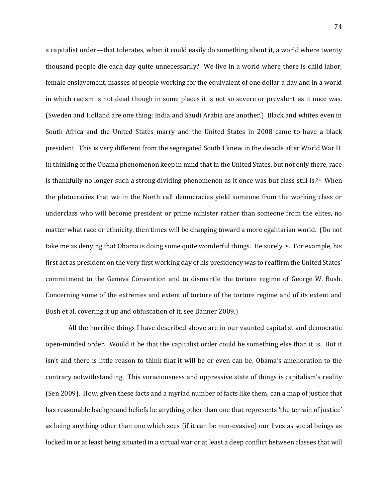a capitalist order—that tolerates, when it could easily do something about it, a world where twenty thousand people die each day quite unnecessarily? We live in a world where there is child labor, female enslavement, masses of people working for the equivalent of one dollar a day and in a world in which racism is not dead though in some places it is not so severe or prevalent as it once was. (Sweden and Holland are one thing; India and Saudi Arabia are another.) Black and whites even in South Africa and the United States marry and the United States in 2008 came to have a black president. This is very different from the segregated South I knew in the decade after World War II. In thinking of the Obama phenomenon keep in mind that in the United States, but not only there, race is thankfully no longer such a strong dividing phenomenon as it once was but class still is.<sup>24</sup> When the plutocracies that we in the North call democracies yield someone from the working class or underclass who will become president or prime minister rather than someone from the elites, no matter what race or ethnicity, then times will be changing toward a more egalitarian world. (Do not take me as denying that Obama is doing some quite wonderful things. He surely is. For example, his first act as president on the very first working day of his presidency was to reaffirm the United States' commitment to the Geneva Convention and to dismantle the torture regime of George W. Bush. Concerning some of the extremes and extent of torture of the torture regime and of its extent and Bush et al. covering it up and obfuscation of it, see Danner 2009.)

All the horrible things I have described above are in our vaunted capitalist and democratic open-minded order. Would it be that the capitalist order could be something else than it is. But it isn't and there is little reason to think that it will be or even can be, Obama's amelioration to the contrary notwithstanding. This voraciousness and oppressive state of things is capitalism's reality (Sen 2009). How, given these facts and a myriad number of facts like them, can a map of justice that has reasonable background beliefs be anything other than one that represents 'the terrain of justice' as being anything other than one which sees (if it can be non-evasive) our lives as social beings as locked in or at least being situated in a virtual war or at least a deep conflict between classes that will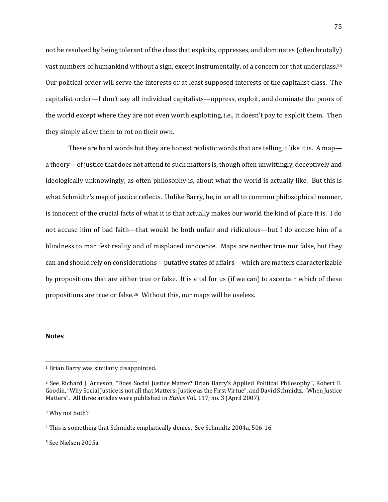not be resolved by being tolerant of the class that exploits, oppresses, and dominates (often brutally) vast numbers of humankind without a sign, except instrumentally, of a concern for that underclass.<sup>25</sup> Our political order will serve the interests or at least supposed interests of the capitalist class. The capitalist order—I don't say all individual capitalists—oppress, exploit, and dominate the poors of the world except where they are not even worth exploiting, i.e., it doesn't pay to exploit them. Then they simply allow them to rot on their own.

These are hard words but they are honest realistic words that are telling it like it is. A map a theory—of justice that does not attend to such matters is, though often unwittingly, deceptively and ideologically unknowingly, as often philosophy is, about what the world is actually like. But this is what Schmidtz's map of justice reflects. Unlike Barry, he, in an all to common philosophical manner, is innocent of the crucial facts of what it is that actually makes our world the kind of place it is. I do not accuse him of bad faith—that would be both unfair and ridiculous—but I do accuse him of a blindness to manifest reality and of misplaced innocence. Maps are neither true nor false, but they can and should rely on considerations—putative states of affairs—which are matters characterizable by propositions that are either true or false. It is vital for us (if we can) to ascertain which of these propositions are true or false.26 Without this, our maps will be useless.

## **Notes**

 $\overline{a}$ 

<sup>3</sup> Why not both?

<sup>5</sup> See Nielsen 2005a.

<sup>1</sup> Brian Barry was similarly disappointed.

<sup>2</sup> See Richard J. Arneson, "Does Social Justice Matter? Brian Barry's Applied Political Philosophy", Robert E. Goodin, "Why Social Justice is not all that Matters: Justice as the First Virtue", and David Schmidtz, "When Justice Matters". All three articles were published in *Ethics* Vol. 117, no. 3 (April 2007).

<sup>4</sup> This is something that Schmidtz emphatically denies. See Schmidtz 2004a, 506-16.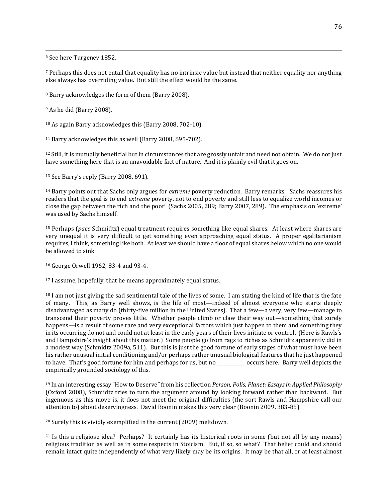<sup>6</sup> See here Turgenev 1852.

 $\overline{a}$ 

<sup>7</sup> Perhaps this does not entail that equality has no intrinsic value but instead that neither equality nor anything else always has overriding value. But still the effect would be the same.

<sup>8</sup> Barry acknowledges the form of them (Barry 2008).

<sup>9</sup> As he did (Barry 2008).

<sup>10</sup> As again Barry acknowledges this (Barry 2008, 702-10).

<sup>11</sup> Barry acknowledges this as well (Barry 2008, 695-702).

<sup>12</sup> Still, it is mutually beneficial but in circumstances that are grossly unfair and need not obtain. We do not just have something here that is an unavoidable fact of nature. And it is plainly evil that it goes on.

<sup>13</sup> See Barry's reply (Barry 2008, 691).

<sup>14</sup> Barry points out that Sachs only argues for *extreme* poverty reduction. Barry remarks, "Sachs reassures his readers that the goal is to end *extreme* poverty, not to end poverty and still less to equalize world incomes or close the gap between the rich and the poor" (Sachs 2005, 289; Barry 2007, 289). The emphasis on 'extreme' was used by Sachs himself.

<sup>15</sup> Perhaps (*pace* Schmidtz) equal treatment requires something like equal shares. At least where shares are very unequal it is very difficult to get something even approaching equal status. A proper egalitarianism requires, I think, something like both. At least we should have a floor of equal shares below which no one would be allowed to sink.

<sup>16</sup> George Orwell 1962, 83-4 and 93-4.

<sup>17</sup> I assume, hopefully, that he means approximately equal status.

<sup>18</sup> I am not just giving the sad sentimental tale of the lives of some. I am stating the kind of life that is the fate of many. This, as Barry well shows, is the life of most—indeed of almost everyone who starts deeply disadvantaged as many do (thirty-five million in the United States). That a few—a very, very few—manage to transcend their poverty proves little. Whether people climb or claw their way out—something that surely happens—is a result of some rare and very exceptional factors which just happen to them and something they in its occurring do not and could not at least in the early years of their lives initiate or control. (Here is Rawls's and Hampshire's insight about this matter.) Some people go from rags to riches as Schmidtz apparently did in a modest way (Schmidtz 2009a, 511). But this is just the good fortune of early stages of what must have been his rather unusual initial conditioning and/or perhaps rather unusual biological features that he just happened to have. That's good fortune for him and perhaps for us, but no \_\_\_\_\_\_\_\_\_\_\_\_ occurs here. Barry well depicts the empirically grounded sociology of this.

<sup>19</sup> In an interesting essay "How to Deserve" from his collection *Person, Polis, Planet: Essays in Applied Philosophy* (Oxford 2008), Schmidtz tries to turn the argument around by looking forward rather than backward. But ingenuous as this move is, it does not meet the original difficulties (the sort Rawls and Hampshire call our attention to) about deservingness. David Boonin makes this very clear (Boonin 2009, 383-85).

<sup>20</sup> Surely this is vividly exemplified in the current (2009) meltdown.

<sup>21</sup> Is this a religiose idea? Perhaps? It certainly has its historical roots in some (but not all by any means) religious tradition as well as in some respects in Stoicism. But, if so, so what? That belief could and should remain intact quite independently of what very likely may be its origins. It may be that all, or at least almost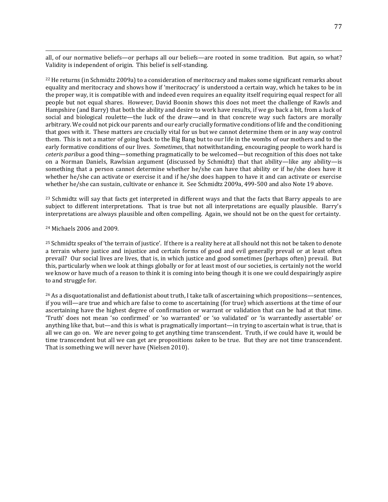all, of our normative beliefs—or perhaps all our beliefs—are rooted in some tradition. But again, so what? Validity is independent of origin. This belief is self-standing.

<sup>22</sup> He returns (in Schmidtz 2009a) to a consideration of meritocracy and makes some significant remarks about equality and meritocracy and shows how if 'meritocracy' is understood a certain way, which he takes to be in the proper way, it is compatible with and indeed even requires an equality itself requiring equal respect for all people but not equal shares. However, David Boonin shows this does not meet the challenge of Rawls and Hampshire (and Barry) that both the ability and desire to work have results, if we go back a bit, from a luck of social and biological roulette—the luck of the draw—and in that concrete way such factors are morally arbitrary. We could not pick our parents and our early crucially formative conditions of life and the conditioning that goes with it. These matters are crucially vital for us but we cannot determine them or in any way control them. This is not a matter of going back to the Big Bang but to our life in the wombs of our mothers and to the early formative conditions of our lives. *Sometimes*, that notwithstanding, encouraging people to work hard is *ceteris paribus* a good thing—something pragmatically to be welcomed—but recognition of this does not take on a Norman Daniels, Rawlsian argument (discussed by Schmidtz) that that ability—like any ability—is something that a person cannot determine whether he/she can have that ability or if he/she does have it whether he/she can activate or exercise it and if he/she does happen to have it and can activate or exercise whether he/she can sustain, cultivate or enhance it. See Schmidtz 2009a, 499-500 and also Note 19 above.

<sup>23</sup> Schmidtz will say that facts get interpreted in different ways and that the facts that Barry appeals to are subject to different interpretations. That is true but not all interpretations are equally plausible. Barry's interpretations are always plausible and often compelling. Again, we should not be on the quest for certainty.

## <sup>24</sup> Michaels 2006 and 2009.

 $\overline{a}$ 

<sup>25</sup> Schmidtz speaks of 'the terrain of justice'. If there is a reality here at all should not this not be taken to denote a terrain where justice and injustice and certain forms of good and evil generally prevail or at least often prevail? Our social lives are lives, that is, in which justice and good sometimes (perhaps often) prevail. But this, particularly when we look at things globally or for at least most of our societies, is certainly not the world we know or have much of a reason to think it is coming into being though it is one we could despairingly aspire to and struggle for.

<sup>26</sup> As a disquotationalist and deflationist about truth, I take talk of ascertaining which propositions—sentences, if you will—are true and which are false to come to ascertaining (for true) which assertions at the time of our ascertaining have the highest degree of confirmation or warrant or validation that can be had at that time. 'Truth' does not mean 'so confirmed' or 'so warranted' or 'so validated' or 'is warrantedly assertable' or anything like that, but—and this is what is pragmatically important—in trying to ascertain what is true, that is all we can go on. We are never going to get anything time transcendent. Truth, if we could have it, would be time transcendent but all we can get are propositions *taken* to be true. But they are not time transcendent. That is something we will never have (Nielsen 2010).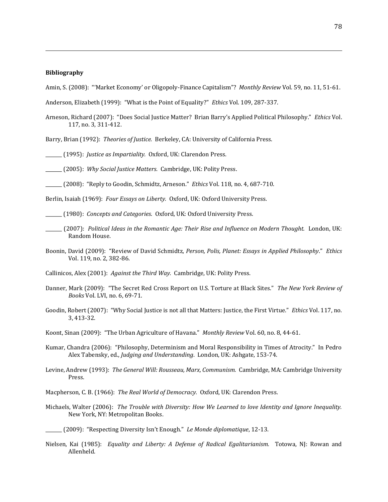## **Bibliography**

 $\overline{a}$ 

Amin, S. (2008): "'Market Economy' or Oligopoly-Finance Capitalism"? *Monthly Review* Vol. 59, no. 11, 51-61.

Anderson, Elizabeth (1999): "What is the Point of Equality?" *Ethics* Vol. 109, 287-337.

Arneson, Richard (2007): "Does Social Justice Matter? Brian Barry's Applied Political Philosophy." *Ethics* Vol. 117, no. 3, 311-412.

Barry, Brian (1992): *Theories of Justice.* Berkeley, CA: University of California Press.

\_\_\_\_\_\_\_ (1995): *Justice as Impartiality.* Oxford, UK: Clarendon Press.

\_\_\_\_\_\_\_ (2005): *Why Social Justice Matters.* Cambridge, UK: Polity Press.

\_\_\_\_\_\_\_ (2008): "Reply to Goodin, Schmidtz, Arneson." *Ethics* Vol. 118, no. 4, 687-710.

Berlin, Isaiah (1969): *Four Essays on Liberty.* Oxford, UK: Oxford University Press.

\_\_\_\_\_\_\_ (1980): *Concepts and Categories*. Oxford, UK: Oxford University Press.

- \_\_\_\_\_\_\_ (2007): *Political Ideas in the Romantic Age: Their Rise and Influence on Modern Thought.* London, UK: Random House.
- Boonin, David (2009): "Review of David Schmidtz, *Person, Polis, Planet: Essays in Applied Philosophy*." *Ethics* Vol. 119, no. 2, 382-86.

Callinicos, Alex (2001): *Against the Third Way.* Cambridge, UK: Polity Press.

- Danner, Mark (2009): "The Secret Red Cross Report on U.S. Torture at Black Sites." *The New York Review of Books* Vol. LVI, no. 6, 69-71.
- Goodin, Robert (2007): "Why Social Justice is not all that Matters: Justice, the First Virtue." *Ethics* Vol. 117, no. 3, 413-32.

Koont, Sinan (2009): "The Urban Agriculture of Havana." *Monthly Review* Vol. 60, no. 8, 44-61.

- Kumar, Chandra (2006): "Philosophy, Determinism and Moral Responsibility in Times of Atrocity." In Pedro Alex Tabensky, ed., *Judging and Understanding*. London, UK: Ashgate, 153-74.
- Levine, Andrew (1993): *The General Will: Rousseau, Marx, Communism.* Cambridge, MA: Cambridge University Press.
- Macpherson, C. B. (1966): *The Real World of Democracy.* Oxford, UK: Clarendon Press.
- Michaels, Walter (2006): *The Trouble with Diversity: How We Learned to love Identity and Ignore Inequality.* New York, NY: Metropolitan Books.

Nielsen, Kai (1985): *Equality and Liberty: A Defense of Radical Egalitarianism.* Totowa, NJ: Rowan and Allenheld.

\_\_\_\_\_\_\_ (2009): "Respecting Diversity Isn't Enough." *Le Monde diplomatique*, 12-13.